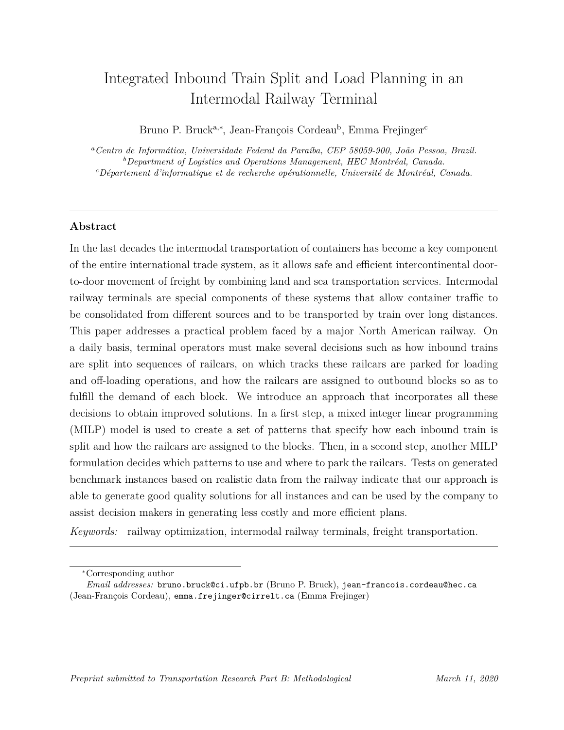# Integrated Inbound Train Split and Load Planning in an Intermodal Railway Terminal

Bruno P. Bruck<sup>a,\*</sup>, Jean-François Cordeau<sup>b</sup>, Emma Frejinger<sup>c</sup>

*<sup>a</sup>Centro de Inform´atica, Universidade Federal da Para´ıba, CEP 58059-900, Jo˜ao Pessoa, Brazil.* <sup>*b*</sup>Department of Logistics and Operations Management, HEC Montréal, Canada. *<sup>c</sup>D´epartement d'informatique et de recherche op´erationnelle, Universit´e de Montr´eal, Canada.*

# **Abstract**

In the last decades the intermodal transportation of containers has become a key component of the entire international trade system, as it allows safe and efficient intercontinental doorto-door movement of freight by combining land and sea transportation services. Intermodal railway terminals are special components of these systems that allow container traffic to be consolidated from different sources and to be transported by train over long distances. This paper addresses a practical problem faced by a major North American railway. On a daily basis, terminal operators must make several decisions such as how inbound trains are split into sequences of railcars, on which tracks these railcars are parked for loading and off-loading operations, and how the railcars are assigned to outbound blocks so as to fulfill the demand of each block. We introduce an approach that incorporates all these decisions to obtain improved solutions. In a first step, a mixed integer linear programming (MILP) model is used to create a set of patterns that specify how each inbound train is split and how the railcars are assigned to the blocks. Then, in a second step, another MILP formulation decides which patterns to use and where to park the railcars. Tests on generated benchmark instances based on realistic data from the railway indicate that our approach is able to generate good quality solutions for all instances and can be used by the company to assist decision makers in generating less costly and more efficient plans.

*Keywords:* railway optimization, intermodal railway terminals, freight transportation.

*<sup>∗</sup>*Corresponding author

*Email addresses:* bruno.bruck@ci.ufpb.br (Bruno P. Bruck), jean-francois.cordeau@hec.ca (Jean-François Cordeau), emma.frejinger@cirrelt.ca (Emma Frejinger)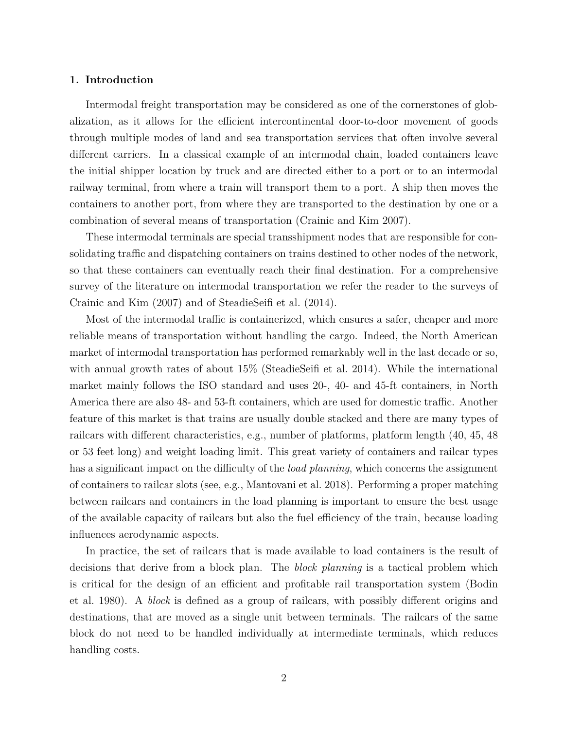#### **1. Introduction**

Intermodal freight transportation may be considered as one of the cornerstones of globalization, as it allows for the efficient intercontinental door-to-door movement of goods through multiple modes of land and sea transportation services that often involve several different carriers. In a classical example of an intermodal chain, loaded containers leave the initial shipper location by truck and are directed either to a port or to an intermodal railway terminal, from where a train will transport them to a port. A ship then moves the containers to another port, from where they are transported to the destination by one or a combination of several means of transportation (Crainic and Kim 2007).

These intermodal terminals are special transshipment nodes that are responsible for consolidating traffic and dispatching containers on trains destined to other nodes of the network, so that these containers can eventually reach their final destination. For a comprehensive survey of the literature on intermodal transportation we refer the reader to the surveys of Crainic and Kim (2007) and of SteadieSeifi et al. (2014).

Most of the intermodal traffic is containerized, which ensures a safer, cheaper and more reliable means of transportation without handling the cargo. Indeed, the North American market of intermodal transportation has performed remarkably well in the last decade or so, with annual growth rates of about  $15\%$  (SteadieSeifi et al. 2014). While the international market mainly follows the ISO standard and uses 20-, 40- and 45-ft containers, in North America there are also 48- and 53-ft containers, which are used for domestic traffic. Another feature of this market is that trains are usually double stacked and there are many types of railcars with different characteristics, e.g., number of platforms, platform length (40, 45, 48 or 53 feet long) and weight loading limit. This great variety of containers and railcar types has a significant impact on the difficulty of the *load planning*, which concerns the assignment of containers to railcar slots (see, e.g., Mantovani et al. 2018). Performing a proper matching between railcars and containers in the load planning is important to ensure the best usage of the available capacity of railcars but also the fuel efficiency of the train, because loading influences aerodynamic aspects.

In practice, the set of railcars that is made available to load containers is the result of decisions that derive from a block plan. The *block planning* is a tactical problem which is critical for the design of an efficient and profitable rail transportation system (Bodin et al. 1980). A *block* is defined as a group of railcars, with possibly different origins and destinations, that are moved as a single unit between terminals. The railcars of the same block do not need to be handled individually at intermediate terminals, which reduces handling costs.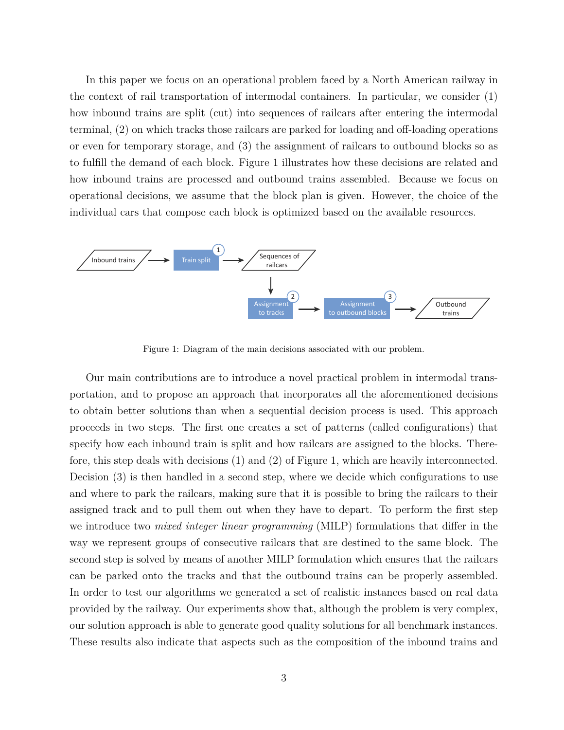In this paper we focus on an operational problem faced by a North American railway in the context of rail transportation of intermodal containers. In particular, we consider (1) how inbound trains are split (cut) into sequences of railcars after entering the intermodal terminal, (2) on which tracks those railcars are parked for loading and off-loading operations or even for temporary storage, and (3) the assignment of railcars to outbound blocks so as to fulfill the demand of each block. Figure 1 illustrates how these decisions are related and how inbound trains are processed and outbound trains assembled. Because we focus on operational decisions, we assume that the block plan is given. However, the choice of the individual cars that compose each block is optimized based on the available resources.



Figure 1: Diagram of the main decisions associated with our problem.

Our main contributions are to introduce a novel practical problem in intermodal transportation, and to propose an approach that incorporates all the aforementioned decisions to obtain better solutions than when a sequential decision process is used. This approach proceeds in two steps. The first one creates a set of patterns (called configurations) that specify how each inbound train is split and how railcars are assigned to the blocks. Therefore, this step deals with decisions (1) and (2) of Figure 1, which are heavily interconnected. Decision (3) is then handled in a second step, where we decide which configurations to use and where to park the railcars, making sure that it is possible to bring the railcars to their assigned track and to pull them out when they have to depart. To perform the first step we introduce two *mixed integer linear programming* (MILP) formulations that differ in the way we represent groups of consecutive railcars that are destined to the same block. The second step is solved by means of another MILP formulation which ensures that the railcars can be parked onto the tracks and that the outbound trains can be properly assembled. In order to test our algorithms we generated a set of realistic instances based on real data provided by the railway. Our experiments show that, although the problem is very complex, our solution approach is able to generate good quality solutions for all benchmark instances. These results also indicate that aspects such as the composition of the inbound trains and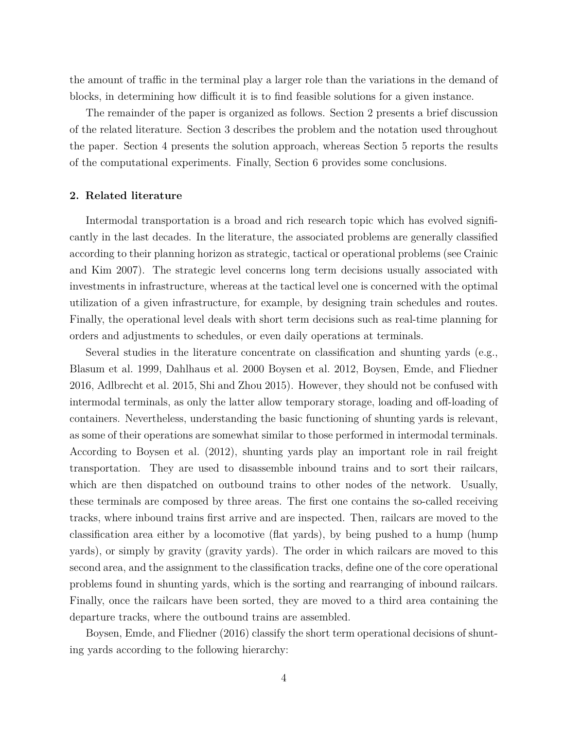the amount of traffic in the terminal play a larger role than the variations in the demand of blocks, in determining how difficult it is to find feasible solutions for a given instance.

The remainder of the paper is organized as follows. Section 2 presents a brief discussion of the related literature. Section 3 describes the problem and the notation used throughout the paper. Section 4 presents the solution approach, whereas Section 5 reports the results of the computational experiments. Finally, Section 6 provides some conclusions.

# **2. Related literature**

Intermodal transportation is a broad and rich research topic which has evolved significantly in the last decades. In the literature, the associated problems are generally classified according to their planning horizon as strategic, tactical or operational problems (see Crainic and Kim 2007). The strategic level concerns long term decisions usually associated with investments in infrastructure, whereas at the tactical level one is concerned with the optimal utilization of a given infrastructure, for example, by designing train schedules and routes. Finally, the operational level deals with short term decisions such as real-time planning for orders and adjustments to schedules, or even daily operations at terminals.

Several studies in the literature concentrate on classification and shunting yards (e.g., Blasum et al. 1999, Dahlhaus et al. 2000 Boysen et al. 2012, Boysen, Emde, and Fliedner 2016, Adlbrecht et al. 2015, Shi and Zhou 2015). However, they should not be confused with intermodal terminals, as only the latter allow temporary storage, loading and off-loading of containers. Nevertheless, understanding the basic functioning of shunting yards is relevant, as some of their operations are somewhat similar to those performed in intermodal terminals. According to Boysen et al. (2012), shunting yards play an important role in rail freight transportation. They are used to disassemble inbound trains and to sort their railcars, which are then dispatched on outbound trains to other nodes of the network. Usually, these terminals are composed by three areas. The first one contains the so-called receiving tracks, where inbound trains first arrive and are inspected. Then, railcars are moved to the classification area either by a locomotive (flat yards), by being pushed to a hump (hump yards), or simply by gravity (gravity yards). The order in which railcars are moved to this second area, and the assignment to the classification tracks, define one of the core operational problems found in shunting yards, which is the sorting and rearranging of inbound railcars. Finally, once the railcars have been sorted, they are moved to a third area containing the departure tracks, where the outbound trains are assembled.

Boysen, Emde, and Fliedner (2016) classify the short term operational decisions of shunting yards according to the following hierarchy: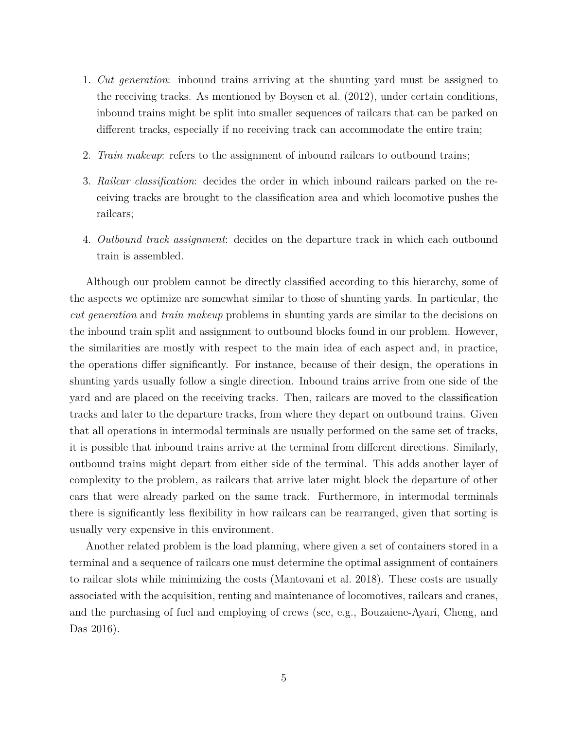- 1. *Cut generation*: inbound trains arriving at the shunting yard must be assigned to the receiving tracks. As mentioned by Boysen et al. (2012), under certain conditions, inbound trains might be split into smaller sequences of railcars that can be parked on different tracks, especially if no receiving track can accommodate the entire train;
- 2. *Train makeup*: refers to the assignment of inbound railcars to outbound trains;
- 3. *Railcar classification*: decides the order in which inbound railcars parked on the receiving tracks are brought to the classification area and which locomotive pushes the railcars;
- 4. *Outbound track assignment*: decides on the departure track in which each outbound train is assembled.

Although our problem cannot be directly classified according to this hierarchy, some of the aspects we optimize are somewhat similar to those of shunting yards. In particular, the *cut generation* and *train makeup* problems in shunting yards are similar to the decisions on the inbound train split and assignment to outbound blocks found in our problem. However, the similarities are mostly with respect to the main idea of each aspect and, in practice, the operations differ significantly. For instance, because of their design, the operations in shunting yards usually follow a single direction. Inbound trains arrive from one side of the yard and are placed on the receiving tracks. Then, railcars are moved to the classification tracks and later to the departure tracks, from where they depart on outbound trains. Given that all operations in intermodal terminals are usually performed on the same set of tracks, it is possible that inbound trains arrive at the terminal from different directions. Similarly, outbound trains might depart from either side of the terminal. This adds another layer of complexity to the problem, as railcars that arrive later might block the departure of other cars that were already parked on the same track. Furthermore, in intermodal terminals there is significantly less flexibility in how railcars can be rearranged, given that sorting is usually very expensive in this environment.

Another related problem is the load planning, where given a set of containers stored in a terminal and a sequence of railcars one must determine the optimal assignment of containers to railcar slots while minimizing the costs (Mantovani et al. 2018). These costs are usually associated with the acquisition, renting and maintenance of locomotives, railcars and cranes, and the purchasing of fuel and employing of crews (see, e.g., Bouzaiene-Ayari, Cheng, and Das 2016).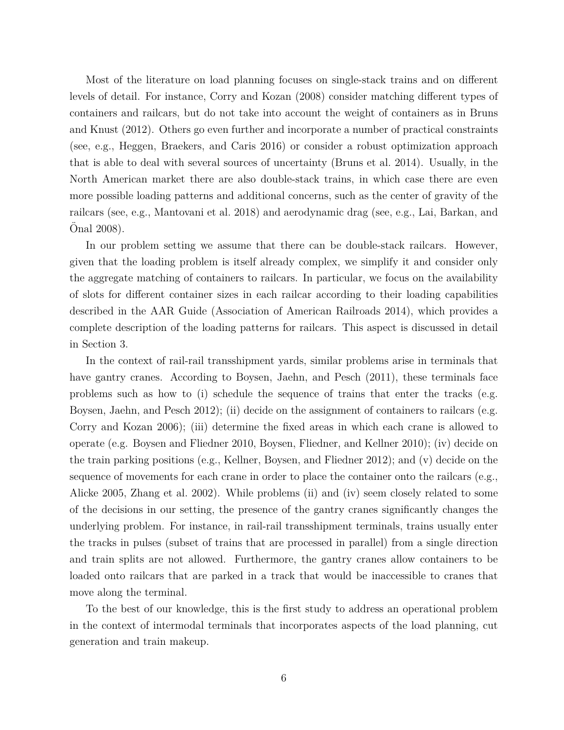Most of the literature on load planning focuses on single-stack trains and on different levels of detail. For instance, Corry and Kozan (2008) consider matching different types of containers and railcars, but do not take into account the weight of containers as in Bruns and Knust (2012). Others go even further and incorporate a number of practical constraints (see, e.g., Heggen, Braekers, and Caris 2016) or consider a robust optimization approach that is able to deal with several sources of uncertainty (Bruns et al. 2014). Usually, in the North American market there are also double-stack trains, in which case there are even more possible loading patterns and additional concerns, such as the center of gravity of the railcars (see, e.g., Mantovani et al. 2018) and aerodynamic drag (see, e.g., Lai, Barkan, and Onal 2008).

In our problem setting we assume that there can be double-stack railcars. However, given that the loading problem is itself already complex, we simplify it and consider only the aggregate matching of containers to railcars. In particular, we focus on the availability of slots for different container sizes in each railcar according to their loading capabilities described in the AAR Guide (Association of American Railroads 2014), which provides a complete description of the loading patterns for railcars. This aspect is discussed in detail in Section 3.

In the context of rail-rail transshipment yards, similar problems arise in terminals that have gantry cranes. According to Boysen, Jaehn, and Pesch (2011), these terminals face problems such as how to (i) schedule the sequence of trains that enter the tracks (e.g. Boysen, Jaehn, and Pesch 2012); (ii) decide on the assignment of containers to railcars (e.g. Corry and Kozan 2006); (iii) determine the fixed areas in which each crane is allowed to operate (e.g. Boysen and Fliedner 2010, Boysen, Fliedner, and Kellner 2010); (iv) decide on the train parking positions (e.g., Kellner, Boysen, and Fliedner 2012); and (v) decide on the sequence of movements for each crane in order to place the container onto the railcars (e.g., Alicke 2005, Zhang et al. 2002). While problems (ii) and (iv) seem closely related to some of the decisions in our setting, the presence of the gantry cranes significantly changes the underlying problem. For instance, in rail-rail transshipment terminals, trains usually enter the tracks in pulses (subset of trains that are processed in parallel) from a single direction and train splits are not allowed. Furthermore, the gantry cranes allow containers to be loaded onto railcars that are parked in a track that would be inaccessible to cranes that move along the terminal.

To the best of our knowledge, this is the first study to address an operational problem in the context of intermodal terminals that incorporates aspects of the load planning, cut generation and train makeup.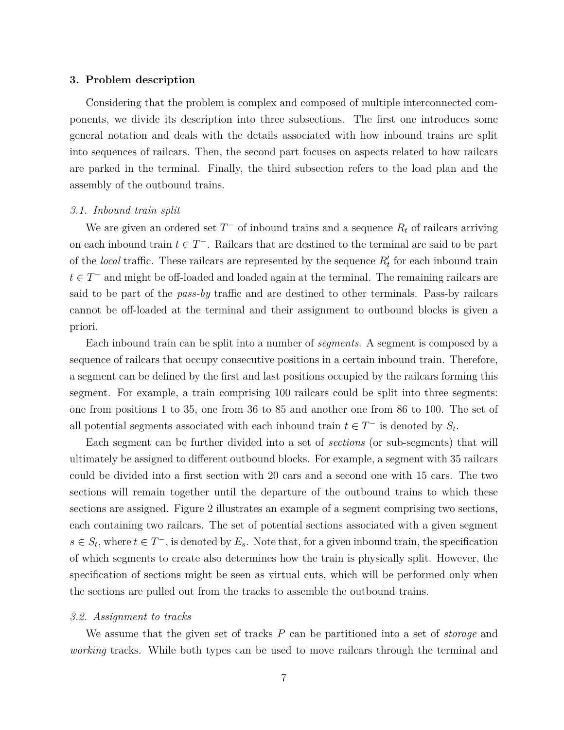#### **3. Problem description**

Considering that the problem is complex and composed of multiple interconnected components, we divide its description into three subsections. The first one introduces some general notation and deals with the details associated with how inbound trains are split into sequences of railcars. Then, the second part focuses on aspects related to how railcars are parked in the terminal. Finally, the third subsection refers to the load plan and the assembly of the outbound trains.

#### *3.1. Inbound train split*

We are given an ordered set *T <sup>−</sup>* of inbound trains and a sequence *R<sup>t</sup>* of railcars arriving on each inbound train  $t \in T^-$ . Railcars that are destined to the terminal are said to be part of the *local* traffic. These railcars are represented by the sequence  $R'_t$  for each inbound train *t ∈ T <sup>−</sup>* and might be off-loaded and loaded again at the terminal. The remaining railcars are said to be part of the *pass-by* traffic and are destined to other terminals. Pass-by railcars cannot be off-loaded at the terminal and their assignment to outbound blocks is given a priori.

Each inbound train can be split into a number of *segments*. A segment is composed by a sequence of railcars that occupy consecutive positions in a certain inbound train. Therefore, a segment can be defined by the first and last positions occupied by the railcars forming this segment. For example, a train comprising 100 railcars could be split into three segments: one from positions 1 to 35, one from 36 to 85 and another one from 86 to 100. The set of all potential segments associated with each inbound train  $t \in T^-$  is denoted by  $S_t$ .

Each segment can be further divided into a set of *sections* (or sub-segments) that will ultimately be assigned to different outbound blocks. For example, a segment with 35 railcars could be divided into a first section with 20 cars and a second one with 15 cars. The two sections will remain together until the departure of the outbound trains to which these sections are assigned. Figure 2 illustrates an example of a segment comprising two sections, each containing two railcars. The set of potential sections associated with a given segment  $s \in S_t$ , where  $t \in T^-$ , is denoted by  $E_s$ . Note that, for a given inbound train, the specification of which segments to create also determines how the train is physically split. However, the specification of sections might be seen as virtual cuts, which will be performed only when the sections are pulled out from the tracks to assemble the outbound trains.

#### *3.2. Assignment to tracks*

We assume that the given set of tracks *P* can be partitioned into a set of *storage* and *working* tracks. While both types can be used to move railcars through the terminal and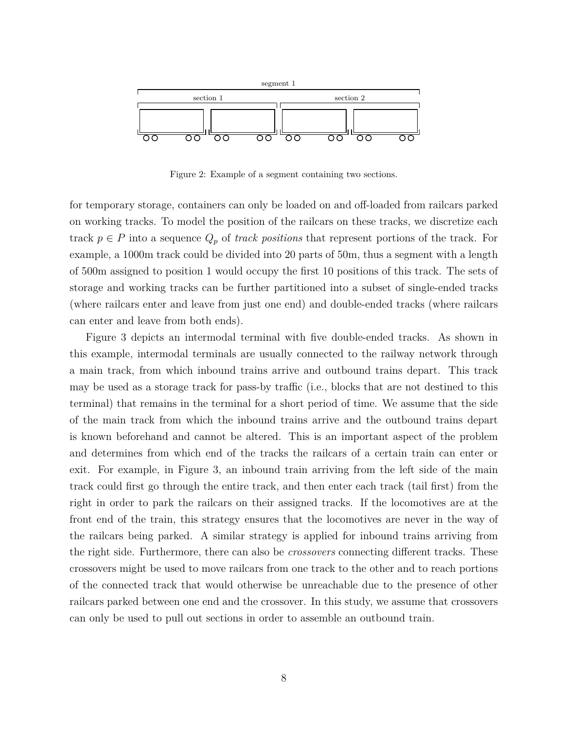

Figure 2: Example of a segment containing two sections.

for temporary storage, containers can only be loaded on and off-loaded from railcars parked on working tracks. To model the position of the railcars on these tracks, we discretize each track  $p \in P$  into a sequence  $Q_p$  of *track positions* that represent portions of the track. For example, a 1000m track could be divided into 20 parts of 50m, thus a segment with a length of 500m assigned to position 1 would occupy the first 10 positions of this track. The sets of storage and working tracks can be further partitioned into a subset of single-ended tracks (where railcars enter and leave from just one end) and double-ended tracks (where railcars can enter and leave from both ends).

Figure 3 depicts an intermodal terminal with five double-ended tracks. As shown in this example, intermodal terminals are usually connected to the railway network through a main track, from which inbound trains arrive and outbound trains depart. This track may be used as a storage track for pass-by traffic (i.e., blocks that are not destined to this terminal) that remains in the terminal for a short period of time. We assume that the side of the main track from which the inbound trains arrive and the outbound trains depart is known beforehand and cannot be altered. This is an important aspect of the problem and determines from which end of the tracks the railcars of a certain train can enter or exit. For example, in Figure 3, an inbound train arriving from the left side of the main track could first go through the entire track, and then enter each track (tail first) from the right in order to park the railcars on their assigned tracks. If the locomotives are at the front end of the train, this strategy ensures that the locomotives are never in the way of the railcars being parked. A similar strategy is applied for inbound trains arriving from the right side. Furthermore, there can also be *crossovers* connecting different tracks. These crossovers might be used to move railcars from one track to the other and to reach portions of the connected track that would otherwise be unreachable due to the presence of other railcars parked between one end and the crossover. In this study, we assume that crossovers can only be used to pull out sections in order to assemble an outbound train.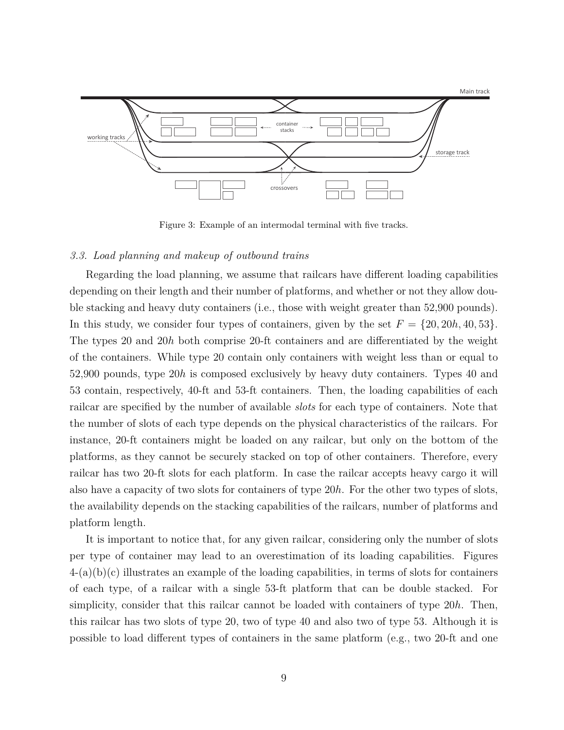

Figure 3: Example of an intermodal terminal with five tracks.

#### *3.3. Load planning and makeup of outbound trains*

Regarding the load planning, we assume that railcars have different loading capabilities depending on their length and their number of platforms, and whether or not they allow double stacking and heavy duty containers (i.e., those with weight greater than 52,900 pounds). In this study, we consider four types of containers, given by the set  $F = \{20, 20h, 40, 53\}$ . The types 20 and 20*h* both comprise 20-ft containers and are differentiated by the weight of the containers. While type 20 contain only containers with weight less than or equal to 52,900 pounds, type 20*h* is composed exclusively by heavy duty containers. Types 40 and 53 contain, respectively, 40-ft and 53-ft containers. Then, the loading capabilities of each railcar are specified by the number of available *slots* for each type of containers. Note that the number of slots of each type depends on the physical characteristics of the railcars. For instance, 20-ft containers might be loaded on any railcar, but only on the bottom of the platforms, as they cannot be securely stacked on top of other containers. Therefore, every railcar has two 20-ft slots for each platform. In case the railcar accepts heavy cargo it will also have a capacity of two slots for containers of type 20*h*. For the other two types of slots, the availability depends on the stacking capabilities of the railcars, number of platforms and platform length.

It is important to notice that, for any given railcar, considering only the number of slots per type of container may lead to an overestimation of its loading capabilities. Figures  $4-(a)(b)(c)$  illustrates an example of the loading capabilities, in terms of slots for containers of each type, of a railcar with a single 53-ft platform that can be double stacked. For simplicity, consider that this railcar cannot be loaded with containers of type 20*h*. Then, this railcar has two slots of type 20, two of type 40 and also two of type 53. Although it is possible to load different types of containers in the same platform (e.g., two 20-ft and one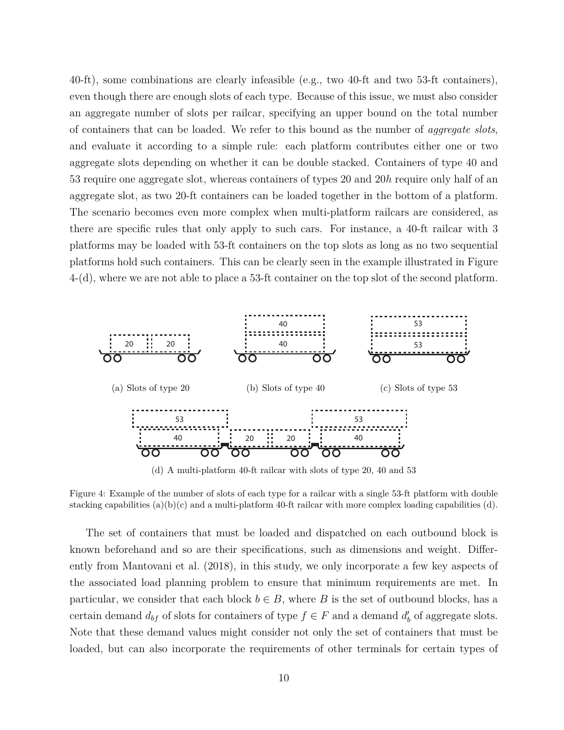40-ft), some combinations are clearly infeasible (e.g., two 40-ft and two 53-ft containers), even though there are enough slots of each type. Because of this issue, we must also consider an aggregate number of slots per railcar, specifying an upper bound on the total number of containers that can be loaded. We refer to this bound as the number of *aggregate slots*, and evaluate it according to a simple rule: each platform contributes either one or two aggregate slots depending on whether it can be double stacked. Containers of type 40 and 53 require one aggregate slot, whereas containers of types 20 and 20*h* require only half of an aggregate slot, as two 20-ft containers can be loaded together in the bottom of a platform. The scenario becomes even more complex when multi-platform railcars are considered, as there are specific rules that only apply to such cars. For instance, a 40-ft railcar with 3 platforms may be loaded with 53-ft containers on the top slots as long as no two sequential platforms hold such containers. This can be clearly seen in the example illustrated in Figure 4-(d), where we are not able to place a 53-ft container on the top slot of the second platform.



(d) A multi-platform 40-ft railcar with slots of type 20, 40 and 53

Figure 4: Example of the number of slots of each type for a railcar with a single 53-ft platform with double stacking capabilities  $(a)(b)(c)$  and a multi-platform 40-ft railcar with more complex loading capabilities  $(d)$ .

The set of containers that must be loaded and dispatched on each outbound block is known beforehand and so are their specifications, such as dimensions and weight. Differently from Mantovani et al. (2018), in this study, we only incorporate a few key aspects of the associated load planning problem to ensure that minimum requirements are met. In particular, we consider that each block  $b \in B$ , where *B* is the set of outbound blocks, has a certain demand  $d_{bf}$  of slots for containers of type  $f \in F$  and a demand  $d'_{bf}$  of aggregate slots. Note that these demand values might consider not only the set of containers that must be loaded, but can also incorporate the requirements of other terminals for certain types of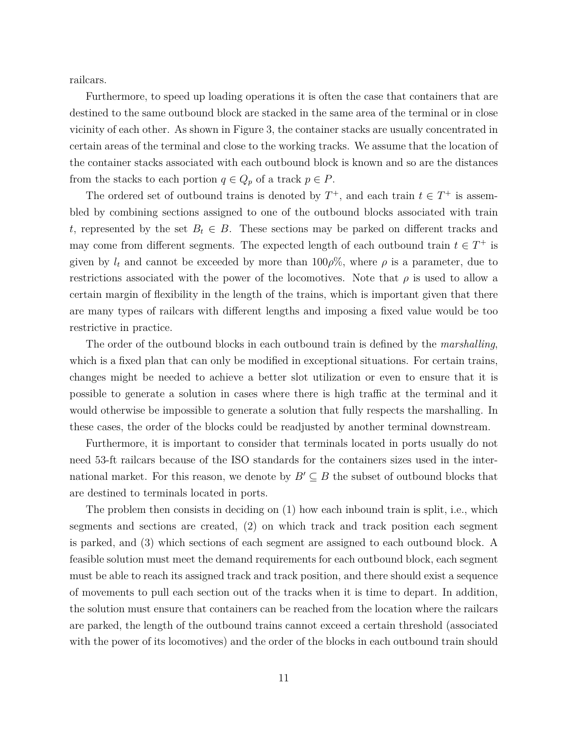railcars.

Furthermore, to speed up loading operations it is often the case that containers that are destined to the same outbound block are stacked in the same area of the terminal or in close vicinity of each other. As shown in Figure 3, the container stacks are usually concentrated in certain areas of the terminal and close to the working tracks. We assume that the location of the container stacks associated with each outbound block is known and so are the distances from the stacks to each portion  $q \in Q_p$  of a track  $p \in P$ .

The ordered set of outbound trains is denoted by  $T^+$ , and each train  $t \in T^+$  is assembled by combining sections assigned to one of the outbound blocks associated with train *t*, represented by the set  $B_t \in B$ . These sections may be parked on different tracks and may come from different segments. The expected length of each outbound train  $t \in T^+$  is given by  $l_t$  and cannot be exceeded by more than  $100\rho\%$ , where  $\rho$  is a parameter, due to restrictions associated with the power of the locomotives. Note that  $\rho$  is used to allow a certain margin of flexibility in the length of the trains, which is important given that there are many types of railcars with different lengths and imposing a fixed value would be too restrictive in practice.

The order of the outbound blocks in each outbound train is defined by the *marshalling*, which is a fixed plan that can only be modified in exceptional situations. For certain trains, changes might be needed to achieve a better slot utilization or even to ensure that it is possible to generate a solution in cases where there is high traffic at the terminal and it would otherwise be impossible to generate a solution that fully respects the marshalling. In these cases, the order of the blocks could be readjusted by another terminal downstream.

Furthermore, it is important to consider that terminals located in ports usually do not need 53-ft railcars because of the ISO standards for the containers sizes used in the international market. For this reason, we denote by  $B' \subseteq B$  the subset of outbound blocks that are destined to terminals located in ports.

The problem then consists in deciding on (1) how each inbound train is split, i.e., which segments and sections are created, (2) on which track and track position each segment is parked, and (3) which sections of each segment are assigned to each outbound block. A feasible solution must meet the demand requirements for each outbound block, each segment must be able to reach its assigned track and track position, and there should exist a sequence of movements to pull each section out of the tracks when it is time to depart. In addition, the solution must ensure that containers can be reached from the location where the railcars are parked, the length of the outbound trains cannot exceed a certain threshold (associated with the power of its locomotives) and the order of the blocks in each outbound train should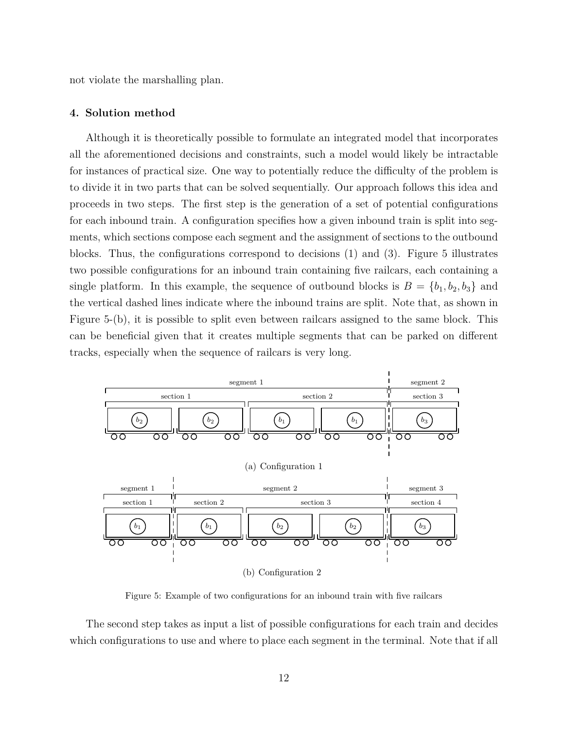not violate the marshalling plan.

#### **4. Solution method**

Although it is theoretically possible to formulate an integrated model that incorporates all the aforementioned decisions and constraints, such a model would likely be intractable for instances of practical size. One way to potentially reduce the difficulty of the problem is to divide it in two parts that can be solved sequentially. Our approach follows this idea and proceeds in two steps. The first step is the generation of a set of potential configurations for each inbound train. A configuration specifies how a given inbound train is split into segments, which sections compose each segment and the assignment of sections to the outbound blocks. Thus, the configurations correspond to decisions (1) and (3). Figure 5 illustrates two possible configurations for an inbound train containing five railcars, each containing a single platform. In this example, the sequence of outbound blocks is  $B = \{b_1, b_2, b_3\}$  and the vertical dashed lines indicate where the inbound trains are split. Note that, as shown in Figure 5-(b), it is possible to split even between railcars assigned to the same block. This can be beneficial given that it creates multiple segments that can be parked on different tracks, especially when the sequence of railcars is very long.



Figure 5: Example of two configurations for an inbound train with five railcars

The second step takes as input a list of possible configurations for each train and decides which configurations to use and where to place each segment in the terminal. Note that if all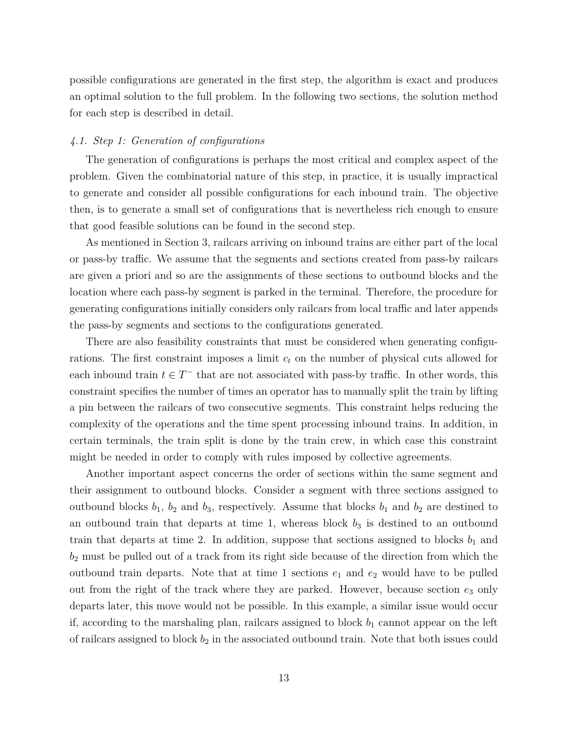possible configurations are generated in the first step, the algorithm is exact and produces an optimal solution to the full problem. In the following two sections, the solution method for each step is described in detail.

# *4.1. Step 1: Generation of configurations*

The generation of configurations is perhaps the most critical and complex aspect of the problem. Given the combinatorial nature of this step, in practice, it is usually impractical to generate and consider all possible configurations for each inbound train. The objective then, is to generate a small set of configurations that is nevertheless rich enough to ensure that good feasible solutions can be found in the second step.

As mentioned in Section 3, railcars arriving on inbound trains are either part of the local or pass-by traffic. We assume that the segments and sections created from pass-by railcars are given a priori and so are the assignments of these sections to outbound blocks and the location where each pass-by segment is parked in the terminal. Therefore, the procedure for generating configurations initially considers only railcars from local traffic and later appends the pass-by segments and sections to the configurations generated.

There are also feasibility constraints that must be considered when generating configurations. The first constraint imposes a limit *c<sup>t</sup>* on the number of physical cuts allowed for each inbound train  $t \in T^-$  that are not associated with pass-by traffic. In other words, this constraint specifies the number of times an operator has to manually split the train by lifting a pin between the railcars of two consecutive segments. This constraint helps reducing the complexity of the operations and the time spent processing inbound trains. In addition, in certain terminals, the train split is done by the train crew, in which case this constraint might be needed in order to comply with rules imposed by collective agreements.

Another important aspect concerns the order of sections within the same segment and their assignment to outbound blocks. Consider a segment with three sections assigned to outbound blocks  $b_1$ ,  $b_2$  and  $b_3$ , respectively. Assume that blocks  $b_1$  and  $b_2$  are destined to an outbound train that departs at time 1, whereas block  $b_3$  is destined to an outbound train that departs at time 2. In addition, suppose that sections assigned to blocks  $b_1$  and *b*<sup>2</sup> must be pulled out of a track from its right side because of the direction from which the outbound train departs. Note that at time 1 sections  $e_1$  and  $e_2$  would have to be pulled out from the right of the track where they are parked. However, because section  $e_3$  only departs later, this move would not be possible. In this example, a similar issue would occur if, according to the marshaling plan, railcars assigned to block  $b_1$  cannot appear on the left of railcars assigned to block  $b_2$  in the associated outbound train. Note that both issues could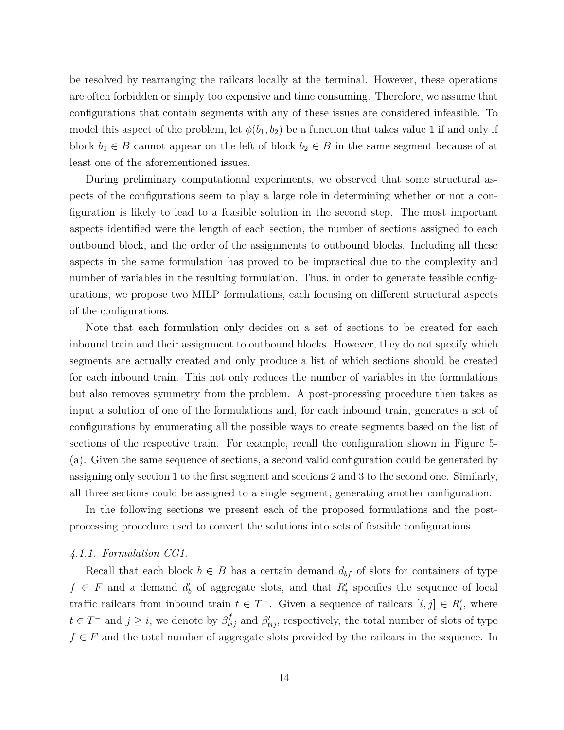be resolved by rearranging the railcars locally at the terminal. However, these operations are often forbidden or simply too expensive and time consuming. Therefore, we assume that configurations that contain segments with any of these issues are considered infeasible. To model this aspect of the problem, let  $\phi(b_1, b_2)$  be a function that takes value 1 if and only if block  $b_1 \in B$  cannot appear on the left of block  $b_2 \in B$  in the same segment because of at least one of the aforementioned issues.

During preliminary computational experiments, we observed that some structural aspects of the configurations seem to play a large role in determining whether or not a configuration is likely to lead to a feasible solution in the second step. The most important aspects identified were the length of each section, the number of sections assigned to each outbound block, and the order of the assignments to outbound blocks. Including all these aspects in the same formulation has proved to be impractical due to the complexity and number of variables in the resulting formulation. Thus, in order to generate feasible configurations, we propose two MILP formulations, each focusing on different structural aspects of the configurations.

Note that each formulation only decides on a set of sections to be created for each inbound train and their assignment to outbound blocks. However, they do not specify which segments are actually created and only produce a list of which sections should be created for each inbound train. This not only reduces the number of variables in the formulations but also removes symmetry from the problem. A post-processing procedure then takes as input a solution of one of the formulations and, for each inbound train, generates a set of configurations by enumerating all the possible ways to create segments based on the list of sections of the respective train. For example, recall the configuration shown in Figure 5- (a). Given the same sequence of sections, a second valid configuration could be generated by assigning only section 1 to the first segment and sections 2 and 3 to the second one. Similarly, all three sections could be assigned to a single segment, generating another configuration.

In the following sections we present each of the proposed formulations and the postprocessing procedure used to convert the solutions into sets of feasible configurations.

#### *4.1.1. Formulation CG1.*

Recall that each block  $b \in B$  has a certain demand  $d_{bf}$  of slots for containers of type  $f \in F$  and a demand  $d'$  of aggregate slots, and that  $R'$  specifies the sequence of local traffic railcars from inbound train  $t \in T^-$ . Given a sequence of railcars  $[i, j] \in R'_t$ , where  $t \in T^-$  and  $j \geq i$ , we denote by  $\beta_{tij}^f$  and  $\beta'_{tij}$ , respectively, the total number of slots of type *f* ∈ *F* and the total number of aggregate slots provided by the railcars in the sequence. In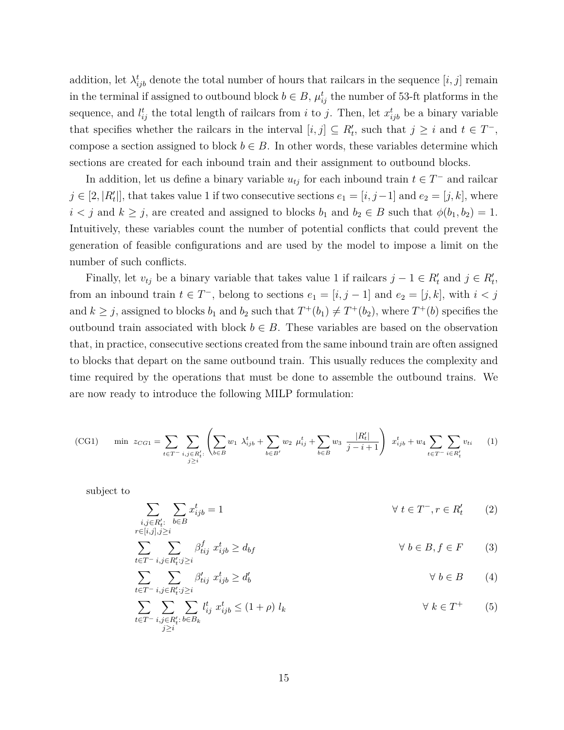addition, let  $\lambda_{ijb}^t$  denote the total number of hours that railcars in the sequence  $[i, j]$  remain in the terminal if assigned to outbound block  $b \in B$ ,  $\mu_{ij}^t$  the number of 53-ft platforms in the sequence, and  $l_{ij}^t$  the total length of railcars from *i* to *j*. Then, let  $x_{ijb}^t$  be a binary variable that specifies whether the railcars in the interval  $[i, j] \subseteq R'_{t}$ , such that  $j \geq i$  and  $t \in T^{-}$ , compose a section assigned to block  $b \in B$ . In other words, these variables determine which sections are created for each inbound train and their assignment to outbound blocks.

In addition, let us define a binary variable  $u_{tj}$  for each inbound train  $t \in T^{-}$  and railcar  $j \in [2, |R'_t|]$ , that takes value 1 if two consecutive sections  $e_1 = [i, j-1]$  and  $e_2 = [j, k]$ , where *i*  $\leq$  *j* and *k*  $\geq$  *j*, are created and assigned to blocks *b*<sub>1</sub> and *b*<sub>2</sub>  $\in$  *B* such that  $\phi$ (*b*<sub>1</sub>*, b*<sub>2</sub>) = 1. Intuitively, these variables count the number of potential conflicts that could prevent the generation of feasible configurations and are used by the model to impose a limit on the number of such conflicts.

Finally, let  $v_{tj}$  be a binary variable that takes value 1 if railcars  $j - 1 \in R'_t$  and  $j \in R'_t$ , from an inbound train  $t \in T^-$ , belong to sections  $e_1 = [i, j - 1]$  and  $e_2 = [j, k]$ , with  $i < j$ and  $k \geq j$ , assigned to blocks  $b_1$  and  $b_2$  such that  $T^+(b_1) \neq T^+(b_2)$ , where  $T^+(b)$  specifies the outbound train associated with block  $b \in B$ . These variables are based on the observation that, in practice, consecutive sections created from the same inbound train are often assigned to blocks that depart on the same outbound train. This usually reduces the complexity and time required by the operations that must be done to assemble the outbound trains. We are now ready to introduce the following MILP formulation:

(CG1) min 
$$
z_{CG1} = \sum_{t \in T^{-}} \sum_{\substack{i,j \in R'_t:\\j \geq i}} \left( \sum_{b \in B} w_1 \lambda_{ijb}^t + \sum_{b \in B'} w_2 \mu_{ij}^t + \sum_{b \in B} w_3 \frac{|R'_t|}{j - i + 1} \right) x_{ijb}^t + w_4 \sum_{t \in T^{-}} \sum_{i \in R'_t} v_{ti} \tag{1}
$$

subject to

$$
\sum_{\substack{i,j \in R'_t:\\r \in [i,j],j \ge i}} \sum_{b \in B} x^t_{ijb} = 1 \qquad \forall \ t \in T^-, r \in R'_t \qquad (2)
$$

$$
\sum_{t \in T^{-}} \sum_{i,j \in R'_t : j \ge i} \beta^f_{tij} \ x^t_{ijb} \ge d_{bf} \qquad \forall \ b \in B, f \in F \qquad (3)
$$

$$
\sum_{t \in T^{-}} \sum_{i,j \in R'_t : j \ge i} \beta'_{tij} \ x^t_{ijb} \ge d'_b \qquad \forall \ b \in B \qquad (4)
$$

$$
\sum_{t \in T^{-}} \sum_{\substack{i,j \in R'_t : b \in B_k}} \sum_{b \in B_k} l^t_{ij} x^t_{ijb} \le (1+\rho) l_k \qquad \forall k \in T^{+}
$$
 (5)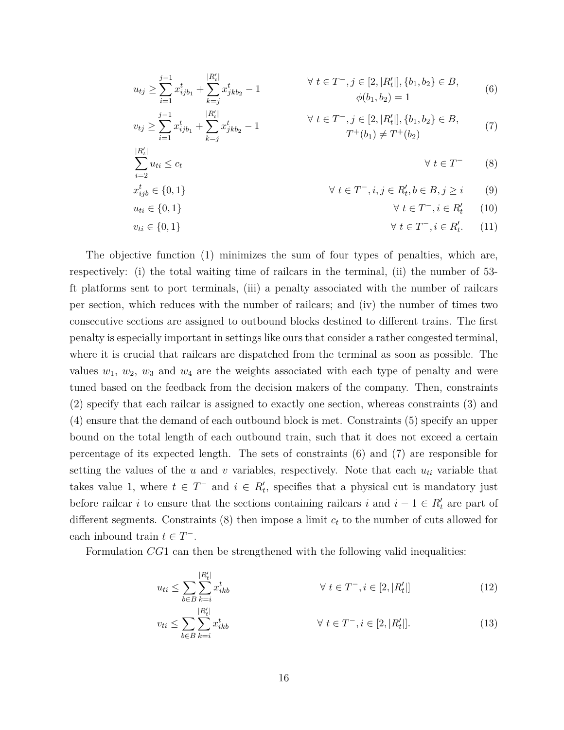$$
u_{tj} \geq \sum_{i=1}^{j-1} x_{ijb_1}^t + \sum_{k=j}^{|R'_t|} x_{jkb_2}^t - 1
$$
\n
$$
v_{tj} \geq \sum_{i=1}^{j-1} x_{ijb_1}^t + \sum_{k=j}^{|R'_t|} x_{jkb_2}^t - 1
$$
\n
$$
v_{tj} \geq \sum_{i=1}^{j-1} x_{ijb_1}^t + \sum_{k=j}^{|R'_t|} x_{jkb_2}^t - 1
$$
\n
$$
\forall t \in T^-, j \in [2, |R'_t|], \{b_1, b_2\} \in B,
$$
\n
$$
T^+(b_1) \neq T^+(b_2)
$$
\n
$$
\sum_{i=2}^{|R'_t|} u_{ti} \leq c_t
$$
\n
$$
\forall t \in T^- \quad (8)
$$
\n
$$
x_{ijb}^t \in \{0, 1\}
$$
\n
$$
\forall t \in T^-, i, j \in R'_t, b \in B, j \geq i
$$
\n
$$
\forall t \in T^-, i \in R'_t
$$
\n
$$
(9)
$$

$$
v_{ti} \in \{0, 1\} \qquad \qquad \forall \ t \in T^-, i \in R'_t. \tag{11}
$$

The objective function (1) minimizes the sum of four types of penalties, which are, respectively: (i) the total waiting time of railcars in the terminal, (ii) the number of 53 ft platforms sent to port terminals, (iii) a penalty associated with the number of railcars per section, which reduces with the number of railcars; and (iv) the number of times two consecutive sections are assigned to outbound blocks destined to different trains. The first penalty is especially important in settings like ours that consider a rather congested terminal, where it is crucial that railcars are dispatched from the terminal as soon as possible. The values  $w_1, w_2, w_3$  and  $w_4$  are the weights associated with each type of penalty and were tuned based on the feedback from the decision makers of the company. Then, constraints (2) specify that each railcar is assigned to exactly one section, whereas constraints (3) and (4) ensure that the demand of each outbound block is met. Constraints (5) specify an upper bound on the total length of each outbound train, such that it does not exceed a certain percentage of its expected length. The sets of constraints (6) and (7) are responsible for setting the values of the  $u$  and  $v$  variables, respectively. Note that each  $u_{ti}$  variable that takes value 1, where  $t \in T^-$  and  $i \in R'_t$ , specifies that a physical cut is mandatory just before railcar *i* to ensure that the sections containing railcars *i* and  $i - 1 \in R'_t$  are part of different segments. Constraints (8) then impose a limit *c<sup>t</sup>* to the number of cuts allowed for each inbound train  $t \in T^-$ .

Formulation *CG*1 can then be strengthened with the following valid inequalities:

$$
u_{ti} \le \sum_{b \in B} \sum_{k=i}^{|R'_t|} x_{ikb}^t \qquad \qquad \forall \ t \in T^-, i \in [2, |R'_t|] \tag{12}
$$

$$
v_{ti} \le \sum_{b \in B} \sum_{k=i}^{|R'_t|} x_{ikb}^t \qquad \forall \ t \in T^-, i \in [2, |R'_t|]. \tag{13}
$$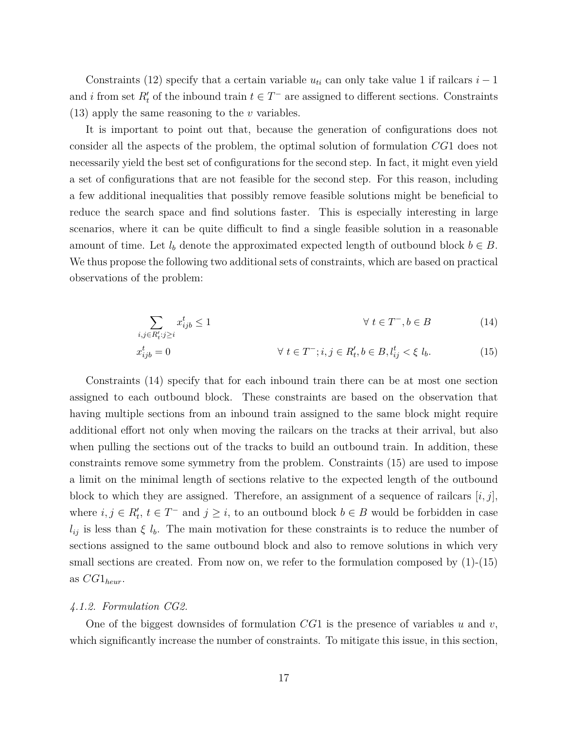Constraints (12) specify that a certain variable  $u_{ti}$  can only take value 1 if railcars  $i-1$ and *i* from set  $R'_t$  of the inbound train  $t \in T^-$  are assigned to different sections. Constraints (13) apply the same reasoning to the *v* variables.

It is important to point out that, because the generation of configurations does not consider all the aspects of the problem, the optimal solution of formulation *CG*1 does not necessarily yield the best set of configurations for the second step. In fact, it might even yield a set of configurations that are not feasible for the second step. For this reason, including a few additional inequalities that possibly remove feasible solutions might be beneficial to reduce the search space and find solutions faster. This is especially interesting in large scenarios, where it can be quite difficult to find a single feasible solution in a reasonable amount of time. Let  $l_b$  denote the approximated expected length of outbound block  $b \in B$ . We thus propose the following two additional sets of constraints, which are based on practical observations of the problem:

$$
\sum_{i,j \in R'_t : j \ge i} x^t_{ijb} \le 1 \qquad \forall \ t \in T^-, b \in B \tag{14}
$$

$$
x_{ijb}^t = 0 \t\t \forall \ t \in T^-; i, j \in R'_t, b \in B, l_{ij}^t < \xi \ l_b.
$$
 (15)

Constraints (14) specify that for each inbound train there can be at most one section assigned to each outbound block. These constraints are based on the observation that having multiple sections from an inbound train assigned to the same block might require additional effort not only when moving the railcars on the tracks at their arrival, but also when pulling the sections out of the tracks to build an outbound train. In addition, these constraints remove some symmetry from the problem. Constraints (15) are used to impose a limit on the minimal length of sections relative to the expected length of the outbound block to which they are assigned. Therefore, an assignment of a sequence of railcars  $[i, j]$ , where  $i, j \in R'_t$ ,  $t \in T^-$  and  $j \geq i$ , to an outbound block  $b \in B$  would be forbidden in case  $l_{ij}$  is less than  $\xi l_b$ . The main motivation for these constraints is to reduce the number of sections assigned to the same outbound block and also to remove solutions in which very small sections are created. From now on, we refer to the formulation composed by (1)-(15) as *CG*1*heur*.

#### *4.1.2. Formulation CG2.*

One of the biggest downsides of formulation *CG*1 is the presence of variables *u* and *v*, which significantly increase the number of constraints. To mitigate this issue, in this section,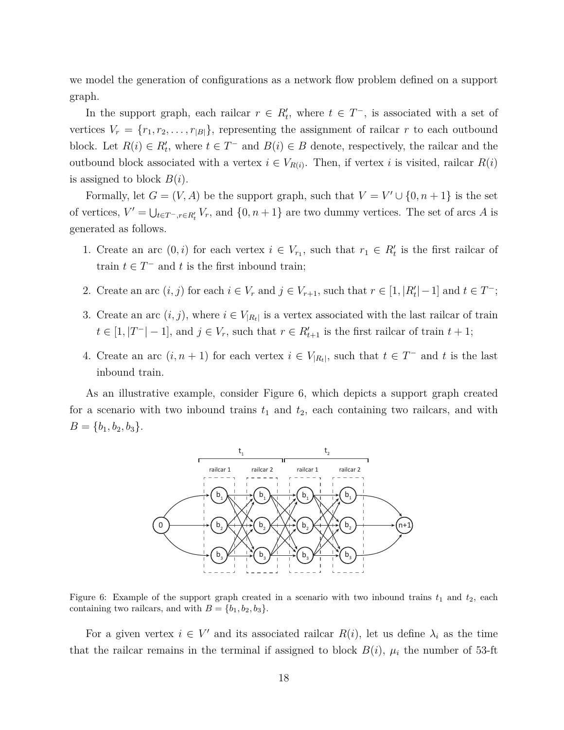we model the generation of configurations as a network flow problem defined on a support graph.

In the support graph, each railcar  $r \in R'$ , where  $t \in T^-$ , is associated with a set of vertices  $V_r = \{r_1, r_2, \ldots, r_{|B|}\},$  representing the assignment of railcar *r* to each outbound block. Let  $R(i) \in R'_t$ , where  $t \in T^-$  and  $B(i) \in B$  denote, respectively, the railcar and the outbound block associated with a vertex  $i \in V_{R(i)}$ . Then, if vertex *i* is visited, railcar  $R(i)$ is assigned to block *B*(*i*).

Formally, let  $G = (V, A)$  be the support graph, such that  $V = V' \cup \{0, n + 1\}$  is the set of vertices,  $V' = \bigcup_{t \in T^-, r \in R'_t} V_r$ , and  $\{0, n+1\}$  are two dummy vertices. The set of arcs *A* is generated as follows.

- 1. Create an arc  $(0, i)$  for each vertex  $i \in V_{r_1}$ , such that  $r_1 \in R'_t$  is the first railcar of train  $t \in T^-$  and  $t$  is the first inbound train;
- 2. Create an arc  $(i, j)$  for each  $i \in V_r$  and  $j \in V_{r+1}$ , such that  $r \in [1, |R'_t| 1]$  and  $t \in T^-$ ;
- 3. Create an arc  $(i, j)$ , where  $i \in V_{R_t}$  is a vertex associated with the last railcar of train  $t \in [1, |T^-| - 1]$ , and  $j \in V_r$ , such that  $r \in R'_{t+1}$  is the first railcar of train  $t + 1$ ;
- 4. Create an arc  $(i, n + 1)$  for each vertex  $i \in V_{R_t}$ , such that  $t \in T^-$  and  $t$  is the last inbound train.

As an illustrative example, consider Figure 6, which depicts a support graph created for a scenario with two inbound trains  $t_1$  and  $t_2$ , each containing two railcars, and with  $B = \{b_1, b_2, b_3\}.$ 



Figure 6: Example of the support graph created in a scenario with two inbound trains  $t_1$  and  $t_2$ , each containing two railcars, and with  $B = \{b_1, b_2, b_3\}.$ 

For a given vertex  $i \in V'$  and its associated railcar  $R(i)$ , let us define  $\lambda_i$  as the time that the railcar remains in the terminal if assigned to block  $B(i)$ ,  $\mu_i$  the number of 53-ft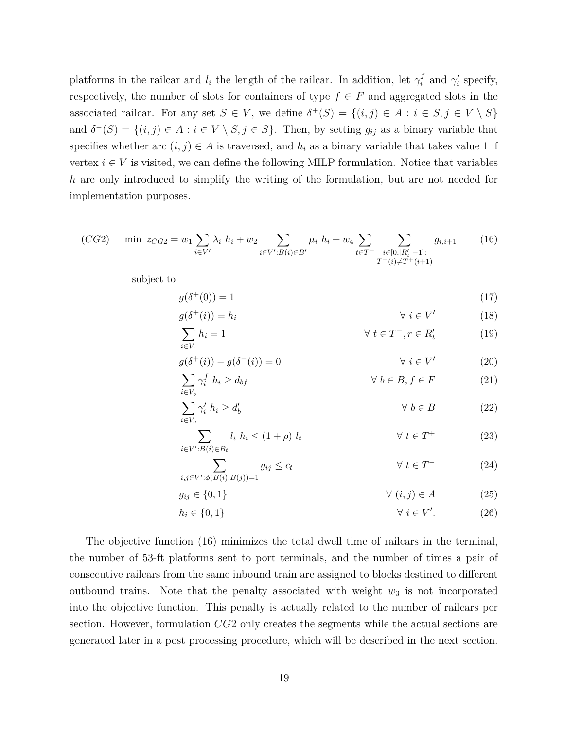platforms in the railcar and  $l_i$  the length of the railcar. In addition, let  $\gamma_i^f$  and  $\gamma_i'$  specify, respectively, the number of slots for containers of type  $f \in F$  and aggregated slots in the associated railcar. For any set  $S \in V$ , we define  $\delta^+(S) = \{(i,j) \in A : i \in S, j \in V \setminus S\}$ and  $\delta^{-}(S) = \{(i, j) \in A : i \in V \setminus S, j \in S\}$ . Then, by setting  $g_{ij}$  as a binary variable that specifies whether arc  $(i, j) \in A$  is traversed, and  $h_i$  as a binary variable that takes value 1 if vertex  $i \in V$  is visited, we can define the following MILP formulation. Notice that variables *h* are only introduced to simplify the writing of the formulation, but are not needed for implementation purposes.

(CG2) min 
$$
z_{CG2} = w_1 \sum_{i \in V'} \lambda_i h_i + w_2 \sum_{i \in V': B(i) \in B'} \mu_i h_i + w_4 \sum_{t \in T^-} \sum_{\substack{i \in [0, |R'_t| - 1]: \ T^+(i) \neq T^+(i+1)}} g_{i,i+1}
$$
 (16)

subject to

*i,j∈V ′*

$$
g(\delta^+(0)) = 1\tag{17}
$$

$$
g(\delta^+(i)) = h_i \qquad \forall i \in V' \qquad (18)
$$

$$
\sum_{i \in V_r} h_i = 1 \qquad \qquad \forall \ t \in T^-, r \in R'_t \tag{19}
$$

$$
g(\delta^+(i)) - g(\delta^-(i)) = 0 \qquad \forall i \in V'
$$
 (20)  

$$
\sum \gamma_i^f h_i \ge d_{bf} \qquad \forall b \in B, f \in F
$$
 (21)

$$
\sum_{i \in V_b} \gamma'_i \ h_i \ge d'_b \qquad \qquad \forall \ b \in B \tag{22}
$$

$$
\sum_{i \in V': B(i) \in B_t} l_i \ h_i \le (1 + \rho) \ l_t \qquad \forall \ t \in T^+ \tag{23}
$$

$$
\sum_{\substack{\in V': \phi(B(i), B(j)) = 1}} g_{ij} \le c_t \qquad \forall \ t \in T^- \tag{24}
$$

$$
g_{ij} \in \{0, 1\} \qquad \qquad \forall \ (i, j) \in A \tag{25}
$$

$$
h_i \in \{0, 1\} \qquad \forall \ i \in V'. \tag{26}
$$

The objective function (16) minimizes the total dwell time of railcars in the terminal, the number of 53-ft platforms sent to port terminals, and the number of times a pair of consecutive railcars from the same inbound train are assigned to blocks destined to different outbound trains. Note that the penalty associated with weight  $w_3$  is not incorporated into the objective function. This penalty is actually related to the number of railcars per section. However, formulation *CG*2 only creates the segments while the actual sections are generated later in a post processing procedure, which will be described in the next section.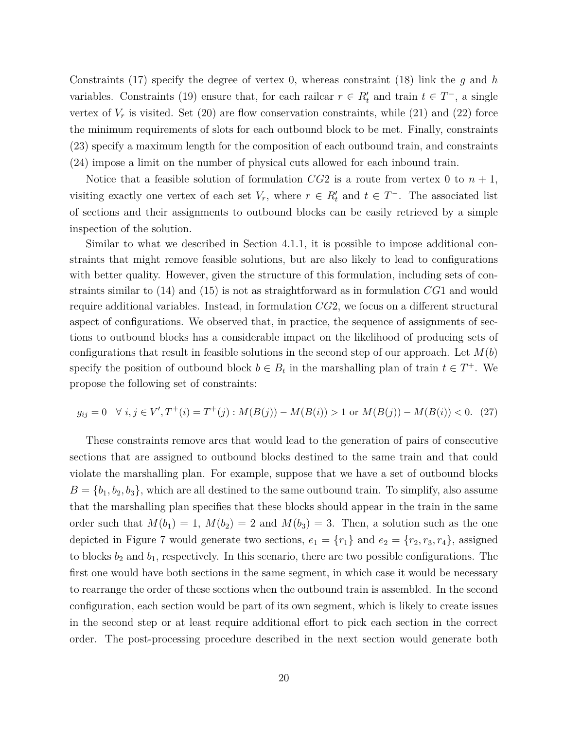Constraints (17) specify the degree of vertex 0, whereas constraint (18) link the *g* and *h* variables. Constraints (19) ensure that, for each railcar  $r \in R'_t$  and train  $t \in T^-$ , a single vertex of  $V_r$  is visited. Set  $(20)$  are flow conservation constraints, while  $(21)$  and  $(22)$  force the minimum requirements of slots for each outbound block to be met. Finally, constraints (23) specify a maximum length for the composition of each outbound train, and constraints (24) impose a limit on the number of physical cuts allowed for each inbound train.

Notice that a feasible solution of formulation  $CG2$  is a route from vertex 0 to  $n + 1$ , visiting exactly one vertex of each set  $V_r$ , where  $r \in R'_t$  and  $t \in T^-$ . The associated list of sections and their assignments to outbound blocks can be easily retrieved by a simple inspection of the solution.

Similar to what we described in Section 4.1.1, it is possible to impose additional constraints that might remove feasible solutions, but are also likely to lead to configurations with better quality. However, given the structure of this formulation, including sets of constraints similar to (14) and (15) is not as straightforward as in formulation *CG*1 and would require additional variables. Instead, in formulation *CG*2, we focus on a different structural aspect of configurations. We observed that, in practice, the sequence of assignments of sections to outbound blocks has a considerable impact on the likelihood of producing sets of configurations that result in feasible solutions in the second step of our approach. Let  $M(b)$ specify the position of outbound block  $b \in B_t$  in the marshalling plan of train  $t \in T^+$ . We propose the following set of constraints:

$$
g_{ij} = 0 \quad \forall \ i, j \in V', T^+(i) = T^+(j) : M(B(j)) - M(B(i)) > 1 \text{ or } M(B(j)) - M(B(i)) < 0. \tag{27}
$$

These constraints remove arcs that would lead to the generation of pairs of consecutive sections that are assigned to outbound blocks destined to the same train and that could violate the marshalling plan. For example, suppose that we have a set of outbound blocks  $B = \{b_1, b_2, b_3\}$ , which are all destined to the same outbound train. To simplify, also assume that the marshalling plan specifies that these blocks should appear in the train in the same order such that  $M(b_1) = 1$ ,  $M(b_2) = 2$  and  $M(b_3) = 3$ . Then, a solution such as the one depicted in Figure 7 would generate two sections,  $e_1 = \{r_1\}$  and  $e_2 = \{r_2, r_3, r_4\}$ , assigned to blocks  $b_2$  and  $b_1$ , respectively. In this scenario, there are two possible configurations. The first one would have both sections in the same segment, in which case it would be necessary to rearrange the order of these sections when the outbound train is assembled. In the second configuration, each section would be part of its own segment, which is likely to create issues in the second step or at least require additional effort to pick each section in the correct order. The post-processing procedure described in the next section would generate both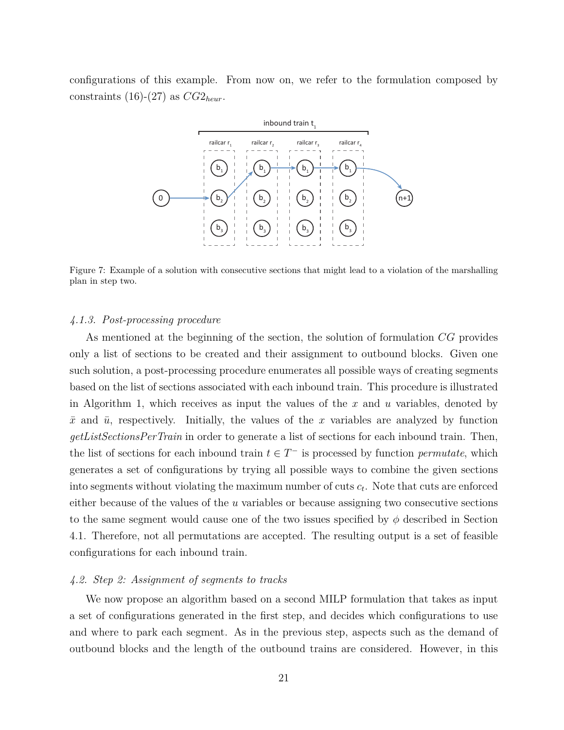configurations of this example. From now on, we refer to the formulation composed by constraints (16)-(27) as  $CG2_{heur}$ .



Figure 7: Example of a solution with consecutive sections that might lead to a violation of the marshalling plan in step two.

#### *4.1.3. Post-processing procedure*

As mentioned at the beginning of the section, the solution of formulation *CG* provides only a list of sections to be created and their assignment to outbound blocks. Given one such solution, a post-processing procedure enumerates all possible ways of creating segments based on the list of sections associated with each inbound train. This procedure is illustrated in Algorithm 1, which receives as input the values of the *x* and *u* variables, denoted by  $\bar{x}$  and  $\bar{u}$ , respectively. Initially, the values of the *x* variables are analyzed by function *getListSectionsPerTrain* in order to generate a list of sections for each inbound train. Then, the list of sections for each inbound train  $t \in T^-$  is processed by function *permutate*, which generates a set of configurations by trying all possible ways to combine the given sections into segments without violating the maximum number of cuts *c<sup>t</sup>* . Note that cuts are enforced either because of the values of the *u* variables or because assigning two consecutive sections to the same segment would cause one of the two issues specified by  $\phi$  described in Section 4.1. Therefore, not all permutations are accepted. The resulting output is a set of feasible configurations for each inbound train.

#### *4.2. Step 2: Assignment of segments to tracks*

We now propose an algorithm based on a second MILP formulation that takes as input a set of configurations generated in the first step, and decides which configurations to use and where to park each segment. As in the previous step, aspects such as the demand of outbound blocks and the length of the outbound trains are considered. However, in this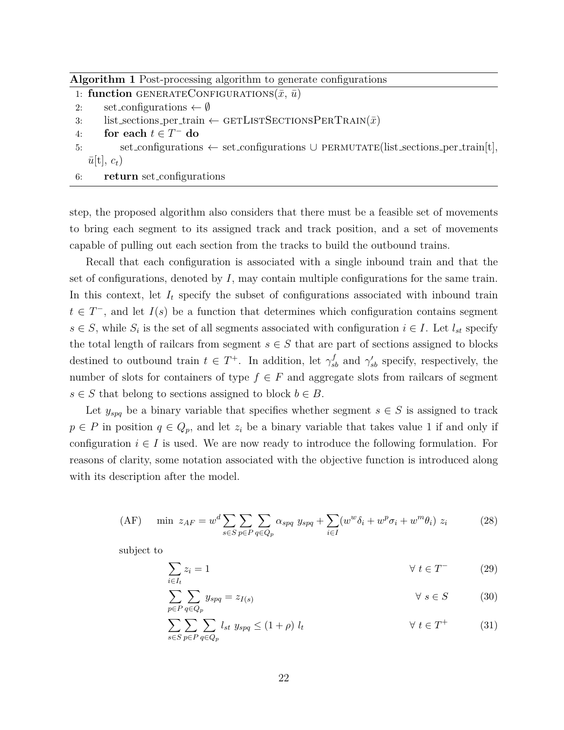**Algorithm 1** Post-processing algorithm to generate configurations

|  | 1: function GENERATECONFIGURATIONS $(\bar{x}, \bar{u})$ |  |
|--|---------------------------------------------------------|--|
|--|---------------------------------------------------------|--|

- 2: set configurations *← ∅*
- 3: list\_sections\_per\_train  $\leftarrow$  GETLISTSECTIONSPERTRAIN( $\bar{x}$ )
- 4: **for each**  $t \in T^-$  **do**
- 5: set\_configurations *←* set\_configurations *∪* PERMUTATE(list\_sections\_per\_train[t],  $\bar{u}[t], c_t$
- 6: **return** set configurations

step, the proposed algorithm also considers that there must be a feasible set of movements to bring each segment to its assigned track and track position, and a set of movements capable of pulling out each section from the tracks to build the outbound trains.

Recall that each configuration is associated with a single inbound train and that the set of configurations, denoted by *I*, may contain multiple configurations for the same train. In this context, let  $I_t$  specify the subset of configurations associated with inbound train  $t \in T^-$ , and let  $I(s)$  be a function that determines which configuration contains segment  $s \in S$ , while  $S_i$  is the set of all segments associated with configuration  $i \in I$ . Let  $l_{st}$  specify the total length of railcars from segment  $s \in S$  that are part of sections assigned to blocks destined to outbound train  $t \in T^+$ . In addition, let  $\gamma_{sb}^f$  and  $\gamma_{sb}^f$  specify, respectively, the number of slots for containers of type  $f \in F$  and aggregate slots from railcars of segment  $s \in S$  that belong to sections assigned to block  $b \in B$ .

Let  $y_{spq}$  be a binary variable that specifies whether segment  $s \in S$  is assigned to track  $p \in P$  in position  $q \in Q_p$ , and let  $z_i$  be a binary variable that takes value 1 if and only if configuration  $i \in I$  is used. We are now ready to introduce the following formulation. For reasons of clarity, some notation associated with the objective function is introduced along with its description after the model.

$$
\text{(AF)} \quad \min \ z_{AF} = w^d \sum_{s \in S} \sum_{p \in P} \sum_{q \in Q_p} \alpha_{spq} \ y_{spq} + \sum_{i \in I} (w^w \delta_i + w^p \sigma_i + w^m \theta_i) \ z_i \tag{28}
$$

subject to

$$
\sum_{i \in I_t} z_i = 1 \qquad \qquad \forall \ t \in T^- \tag{29}
$$

$$
\sum_{p \in P} \sum_{q \in Q_p} y_{spq} = z_{I(s)} \qquad \qquad \forall s \in S \qquad (30)
$$

$$
\sum_{s \in S} \sum_{p \in P} \sum_{q \in Q_p} l_{st} \ y_{spq} \le (1+\rho) \ l_t \qquad \forall \ t \in T^+ \tag{31}
$$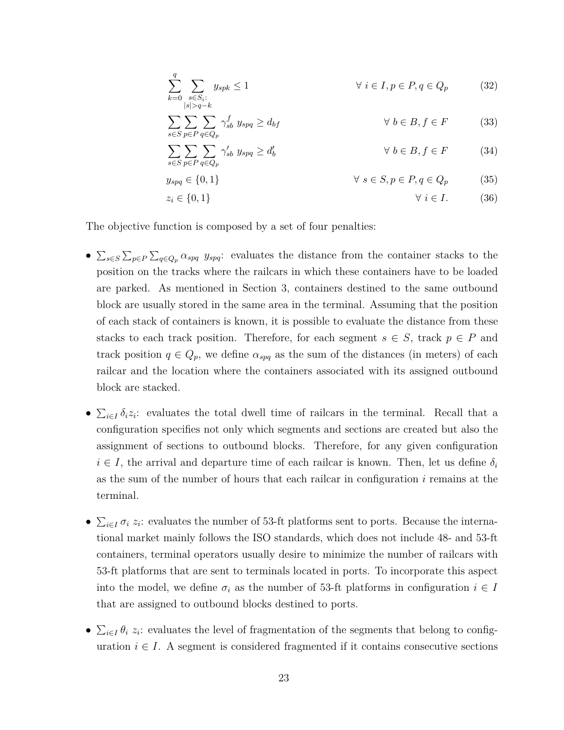$$
\sum_{k=0}^{q} \sum_{s \in S_i:} y_{spk} \le 1 \qquad \forall \ i \in I, p \in P, q \in Q_p \qquad (32)
$$

$$
\sum_{s \in S} \sum_{p \in P} \sum_{q \in Q_p} \gamma_{sb}^f \ y_{spq} \ge d_{bf} \qquad \forall \ b \in B, f \in F \tag{33}
$$

$$
\sum_{s \in S} \sum_{p \in P} \sum_{q \in Q_p} \gamma'_{sb} \ y_{spq} \ge d'_b \qquad \forall \ b \in B, f \in F \tag{34}
$$

$$
y_{spq} \in \{0, 1\} \qquad \forall s \in S, p \in P, q \in Q_p \qquad (35)
$$

$$
z_i \in \{0, 1\} \qquad \qquad \forall \ i \in I. \tag{36}
$$

The objective function is composed by a set of four penalties:

- *•* ∑ *s∈S* ∑ *p∈P* ∑ *<sup>q</sup>∈Q<sup>p</sup> αspq yspq*: evaluates the distance from the container stacks to the position on the tracks where the railcars in which these containers have to be loaded are parked. As mentioned in Section 3, containers destined to the same outbound block are usually stored in the same area in the terminal. Assuming that the position of each stack of containers is known, it is possible to evaluate the distance from these stacks to each track position. Therefore, for each segment  $s \in S$ , track  $p \in P$  and track position  $q \in Q_p$ , we define  $\alpha_{spq}$  as the sum of the distances (in meters) of each railcar and the location where the containers associated with its assigned outbound block are stacked.
- $\sum_{i \in I} \delta_i z_i$ : evaluates the total dwell time of railcars in the terminal. Recall that a configuration specifies not only which segments and sections are created but also the assignment of sections to outbound blocks. Therefore, for any given configuration  $i \in I$ , the arrival and departure time of each railcar is known. Then, let us define  $\delta_i$ as the sum of the number of hours that each railcar in configuration *i* remains at the terminal.
- *•*  $\sum_{i \in I} \sigma_i z_i$ : evaluates the number of 53-ft platforms sent to ports. Because the international market mainly follows the ISO standards, which does not include 48- and 53-ft containers, terminal operators usually desire to minimize the number of railcars with 53-ft platforms that are sent to terminals located in ports. To incorporate this aspect into the model, we define  $\sigma_i$  as the number of 53-ft platforms in configuration  $i \in I$ that are assigned to outbound blocks destined to ports.
- *•*  $\sum_{i \in I} \theta_i$  *z*<sub>*i*</sub>: evaluates the level of fragmentation of the segments that belong to configuration  $i \in I$ . A segment is considered fragmented if it contains consecutive sections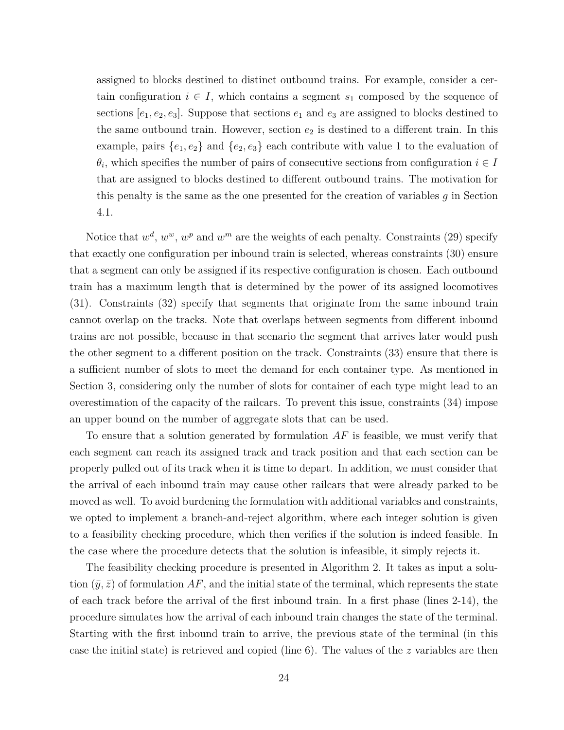assigned to blocks destined to distinct outbound trains. For example, consider a certain configuration  $i \in I$ , which contains a segment  $s_1$  composed by the sequence of sections  $[e_1, e_2, e_3]$ . Suppose that sections  $e_1$  and  $e_3$  are assigned to blocks destined to the same outbound train. However, section  $e_2$  is destined to a different train. In this example, pairs  $\{e_1, e_2\}$  and  $\{e_2, e_3\}$  each contribute with value 1 to the evaluation of  $\theta_i$ , which specifies the number of pairs of consecutive sections from configuration  $i \in I$ that are assigned to blocks destined to different outbound trains. The motivation for this penalty is the same as the one presented for the creation of variables *g* in Section 4.1.

Notice that  $w^d$ ,  $w^w$ ,  $w^p$  and  $w^m$  are the weights of each penalty. Constraints (29) specify that exactly one configuration per inbound train is selected, whereas constraints (30) ensure that a segment can only be assigned if its respective configuration is chosen. Each outbound train has a maximum length that is determined by the power of its assigned locomotives (31). Constraints (32) specify that segments that originate from the same inbound train cannot overlap on the tracks. Note that overlaps between segments from different inbound trains are not possible, because in that scenario the segment that arrives later would push the other segment to a different position on the track. Constraints (33) ensure that there is a sufficient number of slots to meet the demand for each container type. As mentioned in Section 3, considering only the number of slots for container of each type might lead to an overestimation of the capacity of the railcars. To prevent this issue, constraints (34) impose an upper bound on the number of aggregate slots that can be used.

To ensure that a solution generated by formulation *AF* is feasible, we must verify that each segment can reach its assigned track and track position and that each section can be properly pulled out of its track when it is time to depart. In addition, we must consider that the arrival of each inbound train may cause other railcars that were already parked to be moved as well. To avoid burdening the formulation with additional variables and constraints, we opted to implement a branch-and-reject algorithm, where each integer solution is given to a feasibility checking procedure, which then verifies if the solution is indeed feasible. In the case where the procedure detects that the solution is infeasible, it simply rejects it.

The feasibility checking procedure is presented in Algorithm 2. It takes as input a solution  $(\bar{y}, \bar{z})$  of formulation AF, and the initial state of the terminal, which represents the state of each track before the arrival of the first inbound train. In a first phase (lines 2-14), the procedure simulates how the arrival of each inbound train changes the state of the terminal. Starting with the first inbound train to arrive, the previous state of the terminal (in this case the initial state) is retrieved and copied (line 6). The values of the *z* variables are then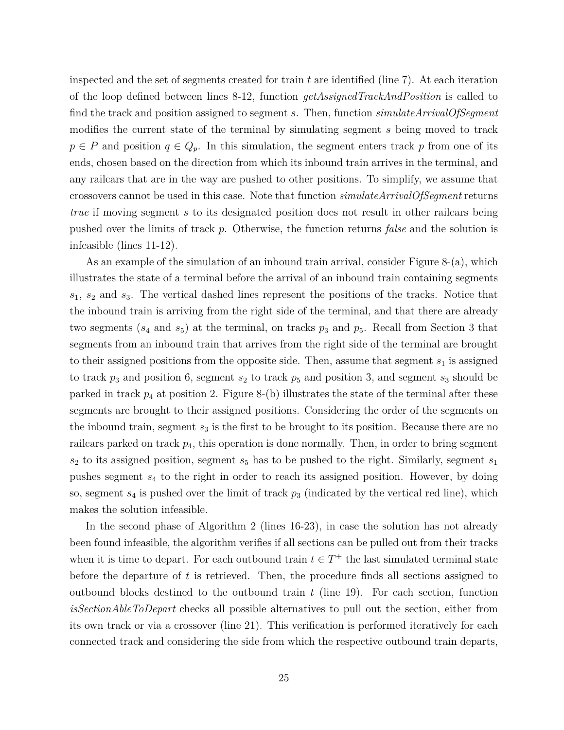inspected and the set of segments created for train *t* are identified (line 7). At each iteration of the loop defined between lines 8-12, function *getAssignedTrackAndPosition* is called to find the track and position assigned to segment *s*. Then, function *simulateArrivalOfSegment* modifies the current state of the terminal by simulating segment *s* being moved to track  $p \in P$  and position  $q \in Q_p$ . In this simulation, the segment enters track *p* from one of its ends, chosen based on the direction from which its inbound train arrives in the terminal, and any railcars that are in the way are pushed to other positions. To simplify, we assume that crossovers cannot be used in this case. Note that function *simulateArrivalOfSegment* returns *true* if moving segment *s* to its designated position does not result in other railcars being pushed over the limits of track *p*. Otherwise, the function returns *false* and the solution is infeasible (lines 11-12).

As an example of the simulation of an inbound train arrival, consider Figure 8-(a), which illustrates the state of a terminal before the arrival of an inbound train containing segments *s*1, *s*<sup>2</sup> and *s*3. The vertical dashed lines represent the positions of the tracks. Notice that the inbound train is arriving from the right side of the terminal, and that there are already two segments  $(s_4 \text{ and } s_5)$  at the terminal, on tracks  $p_3$  and  $p_5$ . Recall from Section 3 that segments from an inbound train that arrives from the right side of the terminal are brought to their assigned positions from the opposite side. Then, assume that segment  $s<sub>1</sub>$  is assigned to track  $p_3$  and position 6, segment  $s_2$  to track  $p_5$  and position 3, and segment  $s_3$  should be parked in track  $p_4$  at position 2. Figure 8-(b) illustrates the state of the terminal after these segments are brought to their assigned positions. Considering the order of the segments on the inbound train, segment  $s_3$  is the first to be brought to its position. Because there are no railcars parked on track  $p_4$ , this operation is done normally. Then, in order to bring segment  $s_2$  to its assigned position, segment  $s_5$  has to be pushed to the right. Similarly, segment  $s_1$ pushes segment *s*<sup>4</sup> to the right in order to reach its assigned position. However, by doing so, segment *s*<sup>4</sup> is pushed over the limit of track *p*<sup>3</sup> (indicated by the vertical red line), which makes the solution infeasible.

In the second phase of Algorithm 2 (lines 16-23), in case the solution has not already been found infeasible, the algorithm verifies if all sections can be pulled out from their tracks when it is time to depart. For each outbound train  $t \in T^+$  the last simulated terminal state before the departure of *t* is retrieved. Then, the procedure finds all sections assigned to outbound blocks destined to the outbound train *t* (line 19). For each section, function *isSectionAbleToDepart* checks all possible alternatives to pull out the section, either from its own track or via a crossover (line 21). This verification is performed iteratively for each connected track and considering the side from which the respective outbound train departs,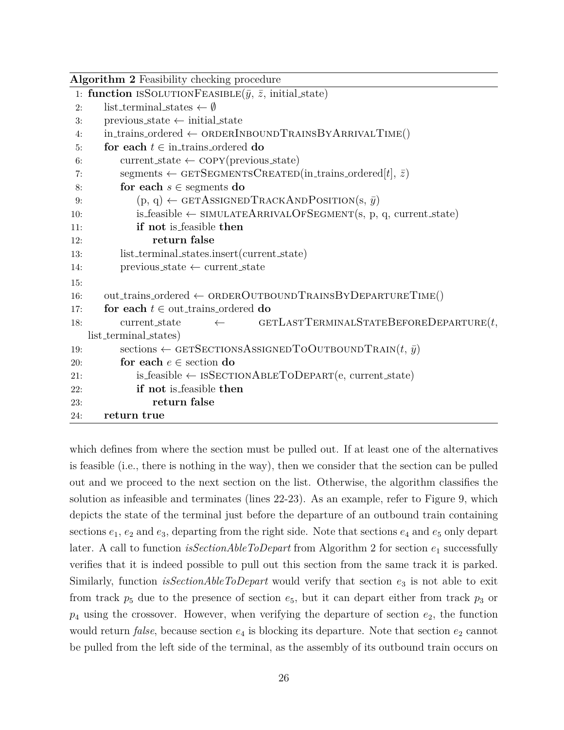| Algorithm 2 Feasibility checking procedure                                          |
|-------------------------------------------------------------------------------------|
| 1: function ISSOLUTIONFEASIBLE( $\bar{y}$ , $\bar{z}$ , initial state)              |
| list_terminal_states $\leftarrow \emptyset$<br>2:                                   |
| $previous\_state \leftarrow initial\_state$<br>3:                                   |
| $in\_trans\_ordered \leftarrow$ ORDERINBOUNDTRAINSBY ARRIVALTIME()<br>4:            |
| for each $t \in$ in trains ordered do<br>5:                                         |
| $current\_state \leftarrow \text{COPY}(previous\_state)$<br>6:                      |
| segments $\leftarrow$ GETSEGMENTSCREATED(in_trains_ordered[t], $\bar{z}$ )<br>7:    |
| for each $s \in$ segments do<br>8:                                                  |
| $(p, q) \leftarrow$ GETASSIGNED TRACKAND POSITION(s, $\bar{y}$ )<br>9:              |
| is_feasible $\leftarrow$ SIMULATEARRIVALOFSEGMENT(s, p, q, current_state)<br>10:    |
| if not is feasible then<br>11:                                                      |
| return false<br>12:                                                                 |
| list_terminal_states.insert(current_state)<br>13:                                   |
| $previous\_state \leftarrow current\_state$<br>14:                                  |
| 15:                                                                                 |
| $out\_training\_ordered \leftarrow$ ORDEROUTBOUND TRAINS BY DEPARTURE TIME()<br>16: |
| for each $t \in$ out_trains_ordered do<br>17:                                       |
| GETLASTTERMINALSTATEBEFOREDEPARTURE $(t,$<br>current_state<br>18:<br>$\leftarrow$   |
| list_terminal_states)                                                               |
| sections $\leftarrow$ GETSECTIONSASSIGNEDTOOUTBOUNDTRAIN $(t, \bar{y})$<br>19:      |
| for each $e \in$ section do<br>20:                                                  |
| $is$ _feasible $\leftarrow$ ISSECTIONABLETODEPART(e, current_state)<br>21:          |
| if not is feasible then<br>22:                                                      |
| return false<br>23:                                                                 |
| return true<br>24:                                                                  |

which defines from where the section must be pulled out. If at least one of the alternatives is feasible (i.e., there is nothing in the way), then we consider that the section can be pulled out and we proceed to the next section on the list. Otherwise, the algorithm classifies the solution as infeasible and terminates (lines 22-23). As an example, refer to Figure 9, which depicts the state of the terminal just before the departure of an outbound train containing sections  $e_1$ ,  $e_2$  and  $e_3$ , departing from the right side. Note that sections  $e_4$  and  $e_5$  only depart later. A call to function *isSectionAbleToDepart* from Algorithm 2 for section *e*<sup>1</sup> successfully verifies that it is indeed possible to pull out this section from the same track it is parked. Similarly, function *isSectionAbleToDepart* would verify that section  $e_3$  is not able to exit from track  $p_5$  due to the presence of section  $e_5$ , but it can depart either from track  $p_3$  or  $p_4$  using the crossover. However, when verifying the departure of section  $e_2$ , the function would return *false*, because section  $e_4$  is blocking its departure. Note that section  $e_2$  cannot be pulled from the left side of the terminal, as the assembly of its outbound train occurs on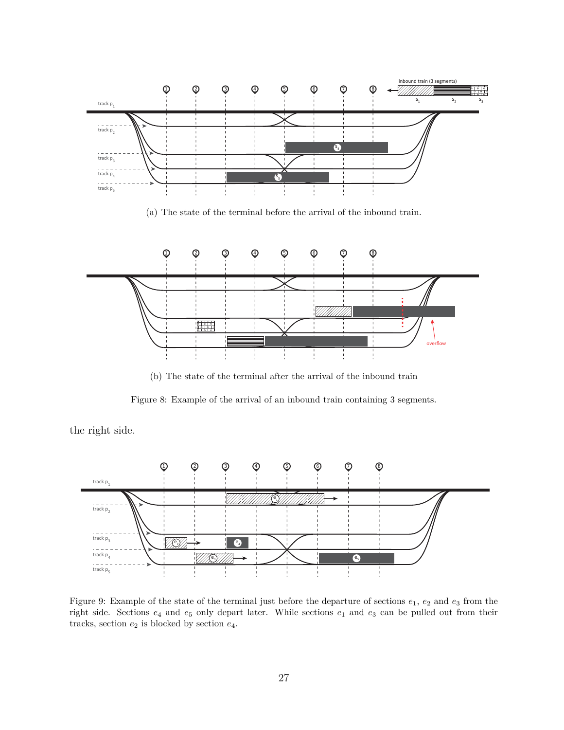

(b) The state of the terminal after the arrival of the inbound train

÷

overflow

Figure 8: Example of the arrival of an inbound train containing 3 segments.

the right side.



Figure 9: Example of the state of the terminal just before the departure of sections  $e_1, e_2$  and  $e_3$  from the right side. Sections *e*<sup>4</sup> and *e*<sup>5</sup> only depart later. While sections *e*<sup>1</sup> and *e*<sup>3</sup> can be pulled out from their tracks, section  $e_2$  is blocked by section  $e_4$ .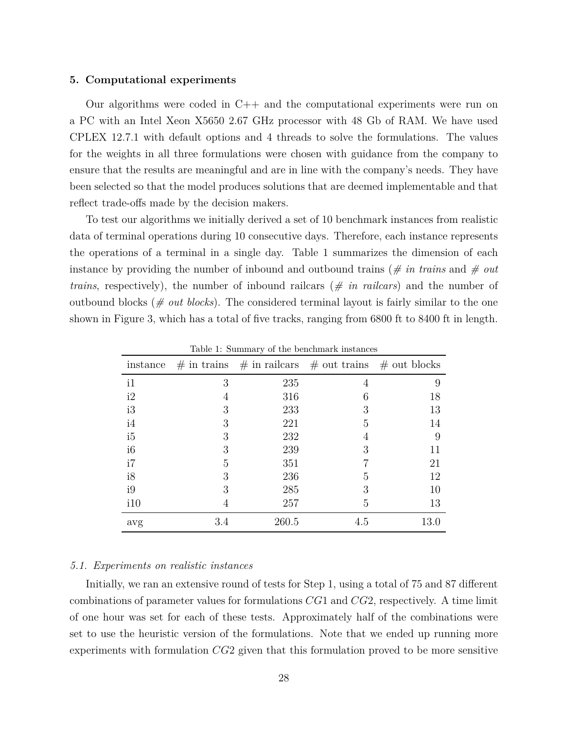#### **5. Computational experiments**

Our algorithms were coded in  $C_{++}$  and the computational experiments were run on a PC with an Intel Xeon X5650 2.67 GHz processor with 48 Gb of RAM. We have used CPLEX 12.7.1 with default options and 4 threads to solve the formulations. The values for the weights in all three formulations were chosen with guidance from the company to ensure that the results are meaningful and are in line with the company's needs. They have been selected so that the model produces solutions that are deemed implementable and that reflect trade-offs made by the decision makers.

To test our algorithms we initially derived a set of 10 benchmark instances from realistic data of terminal operations during 10 consecutive days. Therefore, each instance represents the operations of a terminal in a single day. Table 1 summarizes the dimension of each instance by providing the number of inbound and outbound trains (*# in trains* and *# out trains*, respectively), the number of inbound railcars (*# in railcars*) and the number of outbound blocks ( $\#$  *out blocks*). The considered terminal layout is fairly similar to the one shown in Figure 3, which has a total of five tracks, ranging from 6800 ft to 8400 ft in length.

| instance       |     | $\#$ in trains $\#$ in railcars $\#$ out trains |     | $#$ out blocks |  |
|----------------|-----|-------------------------------------------------|-----|----------------|--|
| i1             | 3   | 235                                             | 4   | 9              |  |
| i2             | 4   | 316                                             | 6   | 18             |  |
| i3             | 3   | 233                                             | 3   | 13             |  |
| i4             | 3   | 221                                             | 5   | 14             |  |
| i <sub>5</sub> | 3   | 232                                             | 4   | 9              |  |
| i <sub>6</sub> | 3   | 239                                             | 3   | 11             |  |
| i7             | 5   | 351                                             |     | 21             |  |
| i8             | 3   | 236                                             | 5   | 12             |  |
| i9             | 3   | 285                                             | 3   | 10             |  |
| i10            | 4   | 257                                             | 5   | 13             |  |
| avg            | 3.4 | 260.5                                           | 4.5 | 13.0           |  |

Table 1: Summary of the benchmark instances

#### *5.1. Experiments on realistic instances*

Initially, we ran an extensive round of tests for Step 1, using a total of 75 and 87 different combinations of parameter values for formulations *CG*1 and *CG*2, respectively. A time limit of one hour was set for each of these tests. Approximately half of the combinations were set to use the heuristic version of the formulations. Note that we ended up running more experiments with formulation *CG*2 given that this formulation proved to be more sensitive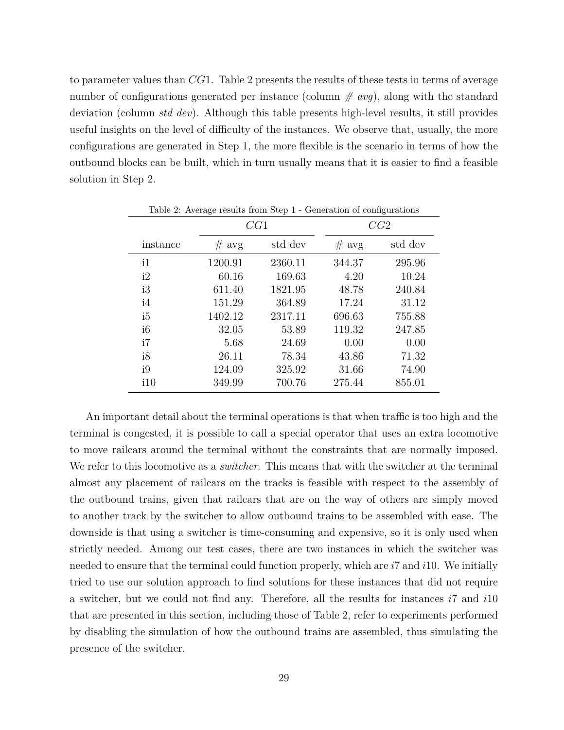to parameter values than *CG*1. Table 2 presents the results of these tests in terms of average number of configurations generated per instance (column *# avg*), along with the standard deviation (column *std dev*). Although this table presents high-level results, it still provides useful insights on the level of difficulty of the instances. We observe that, usually, the more configurations are generated in Step 1, the more flexible is the scenario in terms of how the outbound blocks can be built, which in turn usually means that it is easier to find a feasible solution in Step 2.

|                | CG1     |         | $\frac{1}{2}$ and $\frac{1}{2}$ and $\frac{1}{2}$ and $\frac{1}{2}$ and $\frac{1}{2}$ and $\frac{1}{2}$ are completed to complete the set<br>CG2 |         |  |  |
|----------------|---------|---------|--------------------------------------------------------------------------------------------------------------------------------------------------|---------|--|--|
| instance       | # avg   | std dev | # avg                                                                                                                                            | std dev |  |  |
| i1             | 1200.91 | 2360.11 | 344.37                                                                                                                                           | 295.96  |  |  |
| i2             | 60.16   | 169.63  | 4.20                                                                                                                                             | 10.24   |  |  |
| i3             | 611.40  | 1821.95 | 48.78                                                                                                                                            | 240.84  |  |  |
| i4             | 151.29  | 364.89  | 17.24                                                                                                                                            | 31.12   |  |  |
| i5             | 1402.12 | 2317.11 | 696.63                                                                                                                                           | 755.88  |  |  |
| i <sub>6</sub> | 32.05   | 53.89   | 119.32                                                                                                                                           | 247.85  |  |  |
| i7             | 5.68    | 24.69   | 0.00                                                                                                                                             | 0.00    |  |  |
| i8             | 26.11   | 78.34   | 43.86                                                                                                                                            | 71.32   |  |  |
| i9             | 124.09  | 325.92  | 31.66                                                                                                                                            | 74.90   |  |  |
| i10            | 349.99  | 700.76  | 275.44                                                                                                                                           | 855.01  |  |  |

Table 2: Average results from Step 1 - Generation of configurations

An important detail about the terminal operations is that when traffic is too high and the terminal is congested, it is possible to call a special operator that uses an extra locomotive to move railcars around the terminal without the constraints that are normally imposed. We refer to this locomotive as a *switcher*. This means that with the switcher at the terminal almost any placement of railcars on the tracks is feasible with respect to the assembly of the outbound trains, given that railcars that are on the way of others are simply moved to another track by the switcher to allow outbound trains to be assembled with ease. The downside is that using a switcher is time-consuming and expensive, so it is only used when strictly needed. Among our test cases, there are two instances in which the switcher was needed to ensure that the terminal could function properly, which are *i*7 and *i*10. We initially tried to use our solution approach to find solutions for these instances that did not require a switcher, but we could not find any. Therefore, all the results for instances *i*7 and *i*10 that are presented in this section, including those of Table 2, refer to experiments performed by disabling the simulation of how the outbound trains are assembled, thus simulating the presence of the switcher.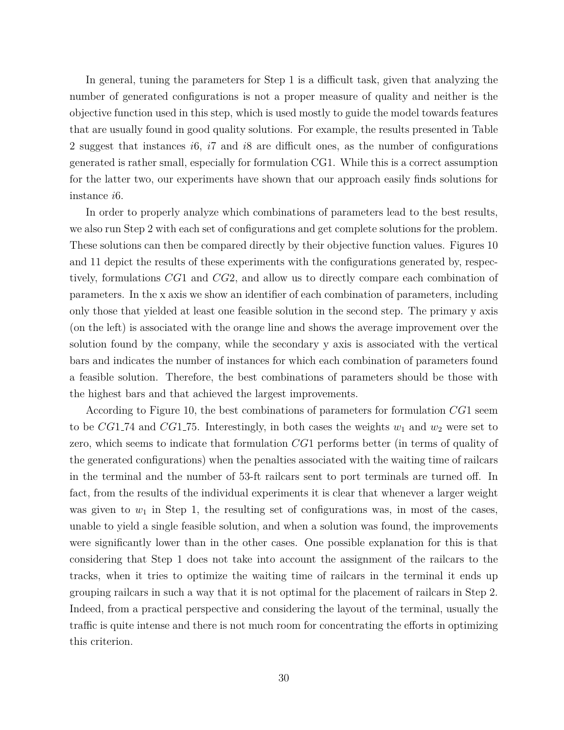In general, tuning the parameters for Step 1 is a difficult task, given that analyzing the number of generated configurations is not a proper measure of quality and neither is the objective function used in this step, which is used mostly to guide the model towards features that are usually found in good quality solutions. For example, the results presented in Table 2 suggest that instances *i*6, *i*7 and *i*8 are difficult ones, as the number of configurations generated is rather small, especially for formulation CG1. While this is a correct assumption for the latter two, our experiments have shown that our approach easily finds solutions for instance *i*6.

In order to properly analyze which combinations of parameters lead to the best results, we also run Step 2 with each set of configurations and get complete solutions for the problem. These solutions can then be compared directly by their objective function values. Figures 10 and 11 depict the results of these experiments with the configurations generated by, respectively, formulations *CG*1 and *CG*2, and allow us to directly compare each combination of parameters. In the x axis we show an identifier of each combination of parameters, including only those that yielded at least one feasible solution in the second step. The primary y axis (on the left) is associated with the orange line and shows the average improvement over the solution found by the company, while the secondary y axis is associated with the vertical bars and indicates the number of instances for which each combination of parameters found a feasible solution. Therefore, the best combinations of parameters should be those with the highest bars and that achieved the largest improvements.

According to Figure 10, the best combinations of parameters for formulation *CG*1 seem to be *CG*1<sub>-74</sub> and *CG*1<sub>-75</sub>. Interestingly, in both cases the weights  $w_1$  and  $w_2$  were set to zero, which seems to indicate that formulation *CG*1 performs better (in terms of quality of the generated configurations) when the penalties associated with the waiting time of railcars in the terminal and the number of 53-ft railcars sent to port terminals are turned off. In fact, from the results of the individual experiments it is clear that whenever a larger weight was given to  $w_1$  in Step 1, the resulting set of configurations was, in most of the cases, unable to yield a single feasible solution, and when a solution was found, the improvements were significantly lower than in the other cases. One possible explanation for this is that considering that Step 1 does not take into account the assignment of the railcars to the tracks, when it tries to optimize the waiting time of railcars in the terminal it ends up grouping railcars in such a way that it is not optimal for the placement of railcars in Step 2. Indeed, from a practical perspective and considering the layout of the terminal, usually the traffic is quite intense and there is not much room for concentrating the efforts in optimizing this criterion.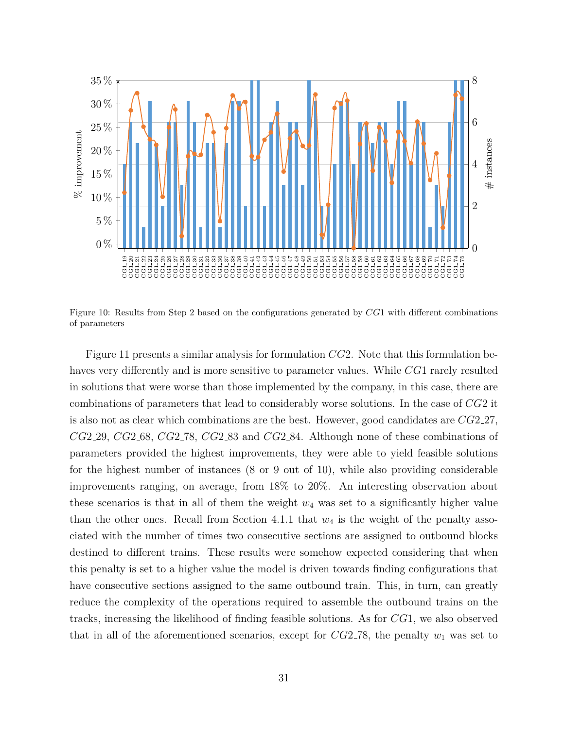

Figure 10: Results from Step 2 based on the configurations generated by *CG*1 with different combinations of parameters

Figure 11 presents a similar analysis for formulation *CG*2. Note that this formulation behaves very differently and is more sensitive to parameter values. While CG1 rarely resulted in solutions that were worse than those implemented by the company, in this case, there are combinations of parameters that lead to considerably worse solutions. In the case of *CG*2 it is also not as clear which combinations are the best. However, good candidates are *CG*2 27, *CG*2 29, *CG*2 68, *CG*2 78, *CG*2 83 and *CG*2 84. Although none of these combinations of parameters provided the highest improvements, they were able to yield feasible solutions for the highest number of instances (8 or 9 out of 10), while also providing considerable improvements ranging, on average, from 18% to 20%. An interesting observation about these scenarios is that in all of them the weight  $w_4$  was set to a significantly higher value than the other ones. Recall from Section 4.1.1 that  $w_4$  is the weight of the penalty associated with the number of times two consecutive sections are assigned to outbound blocks destined to different trains. These results were somehow expected considering that when this penalty is set to a higher value the model is driven towards finding configurations that have consecutive sections assigned to the same outbound train. This, in turn, can greatly reduce the complexity of the operations required to assemble the outbound trains on the tracks, increasing the likelihood of finding feasible solutions. As for *CG*1, we also observed that in all of the aforementioned scenarios, except for  $CG2-78$ , the penalty  $w_1$  was set to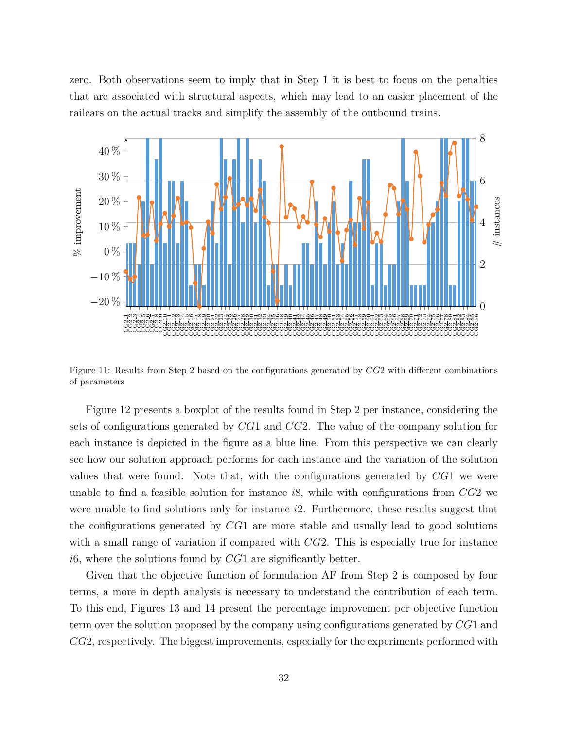zero. Both observations seem to imply that in Step 1 it is best to focus on the penalties that are associated with structural aspects, which may lead to an easier placement of the railcars on the actual tracks and simplify the assembly of the outbound trains.



Figure 11: Results from Step 2 based on the configurations generated by *CG*2 with different combinations of parameters

Figure 12 presents a boxplot of the results found in Step 2 per instance, considering the sets of configurations generated by *CG*1 and *CG*2. The value of the company solution for each instance is depicted in the figure as a blue line. From this perspective we can clearly see how our solution approach performs for each instance and the variation of the solution values that were found. Note that, with the configurations generated by *CG*1 we were unable to find a feasible solution for instance *i*8, while with configurations from *CG*2 we were unable to find solutions only for instance *i*2. Furthermore, these results suggest that the configurations generated by *CG*1 are more stable and usually lead to good solutions with a small range of variation if compared with *CG*2. This is especially true for instance *i*6, where the solutions found by *CG*1 are significantly better.

Given that the objective function of formulation AF from Step 2 is composed by four terms, a more in depth analysis is necessary to understand the contribution of each term. To this end, Figures 13 and 14 present the percentage improvement per objective function term over the solution proposed by the company using configurations generated by *CG*1 and *CG*2, respectively. The biggest improvements, especially for the experiments performed with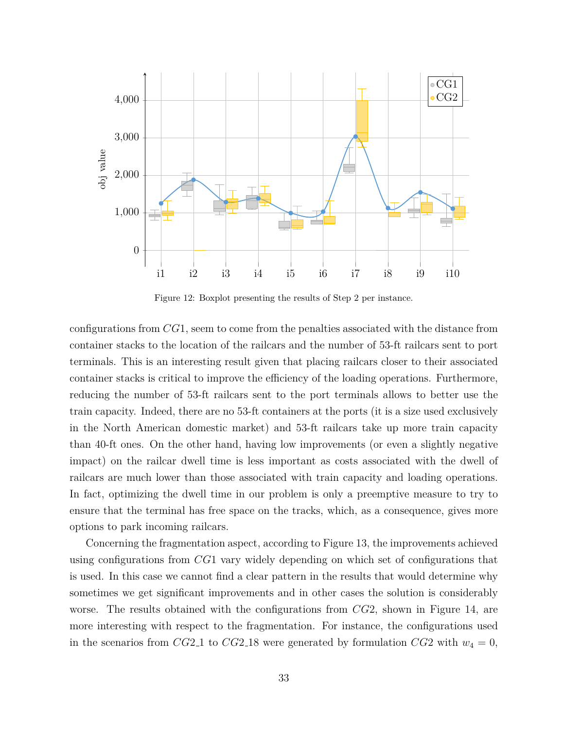

Figure 12: Boxplot presenting the results of Step 2 per instance.

configurations from *CG*1, seem to come from the penalties associated with the distance from container stacks to the location of the railcars and the number of 53-ft railcars sent to port terminals. This is an interesting result given that placing railcars closer to their associated container stacks is critical to improve the efficiency of the loading operations. Furthermore, reducing the number of 53-ft railcars sent to the port terminals allows to better use the train capacity. Indeed, there are no 53-ft containers at the ports (it is a size used exclusively in the North American domestic market) and 53-ft railcars take up more train capacity than 40-ft ones. On the other hand, having low improvements (or even a slightly negative impact) on the railcar dwell time is less important as costs associated with the dwell of railcars are much lower than those associated with train capacity and loading operations. In fact, optimizing the dwell time in our problem is only a preemptive measure to try to ensure that the terminal has free space on the tracks, which, as a consequence, gives more options to park incoming railcars.

Concerning the fragmentation aspect, according to Figure 13, the improvements achieved using configurations from *CG*1 vary widely depending on which set of configurations that is used. In this case we cannot find a clear pattern in the results that would determine why sometimes we get significant improvements and in other cases the solution is considerably worse. The results obtained with the configurations from *CG*2, shown in Figure 14, are more interesting with respect to the fragmentation. For instance, the configurations used in the scenarios from *CG*2<sub>-1</sub>1 to *CG*2<sub>-18</sub> were generated by formulation *CG*2 with  $w_4 = 0$ ,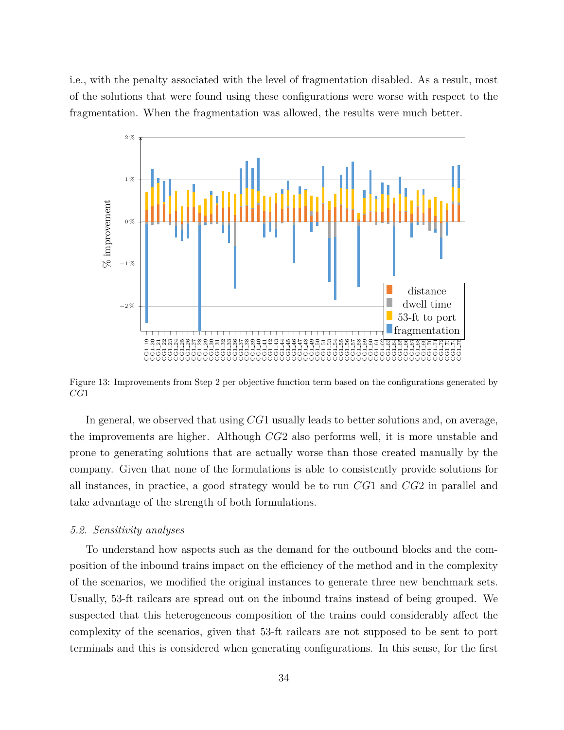i.e., with the penalty associated with the level of fragmentation disabled. As a result, most of the solutions that were found using these configurations were worse with respect to the fragmentation. When the fragmentation was allowed, the results were much better.



Figure 13: Improvements from Step 2 per objective function term based on the configurations generated by *CG*1

In general, we observed that using *CG*1 usually leads to better solutions and, on average, the improvements are higher. Although *CG*2 also performs well, it is more unstable and prone to generating solutions that are actually worse than those created manually by the company. Given that none of the formulations is able to consistently provide solutions for all instances, in practice, a good strategy would be to run *CG*1 and *CG*2 in parallel and take advantage of the strength of both formulations.

# *5.2. Sensitivity analyses*

To understand how aspects such as the demand for the outbound blocks and the composition of the inbound trains impact on the efficiency of the method and in the complexity of the scenarios, we modified the original instances to generate three new benchmark sets. Usually, 53-ft railcars are spread out on the inbound trains instead of being grouped. We suspected that this heterogeneous composition of the trains could considerably affect the complexity of the scenarios, given that 53-ft railcars are not supposed to be sent to port terminals and this is considered when generating configurations. In this sense, for the first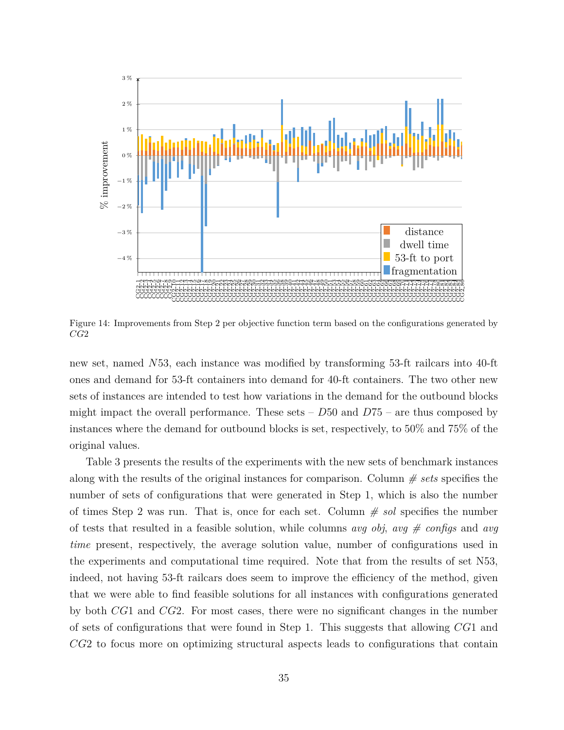

Figure 14: Improvements from Step 2 per objective function term based on the configurations generated by *CG*2

new set, named *N*53, each instance was modified by transforming 53-ft railcars into 40-ft ones and demand for 53-ft containers into demand for 40-ft containers. The two other new sets of instances are intended to test how variations in the demand for the outbound blocks might impact the overall performance. These sets – *D*50 and *D*75 – are thus composed by instances where the demand for outbound blocks is set, respectively, to 50% and 75% of the original values.

Table 3 presents the results of the experiments with the new sets of benchmark instances along with the results of the original instances for comparison. Column *# sets* specifies the number of sets of configurations that were generated in Step 1, which is also the number of times Step 2 was run. That is, once for each set. Column *# sol* specifies the number of tests that resulted in a feasible solution, while columns *avg obj*, *avg # configs* and *avg time* present, respectively, the average solution value, number of configurations used in the experiments and computational time required. Note that from the results of set N53, indeed, not having 53-ft railcars does seem to improve the efficiency of the method, given that we were able to find feasible solutions for all instances with configurations generated by both *CG*1 and *CG*2. For most cases, there were no significant changes in the number of sets of configurations that were found in Step 1. This suggests that allowing *CG*1 and *CG*2 to focus more on optimizing structural aspects leads to configurations that contain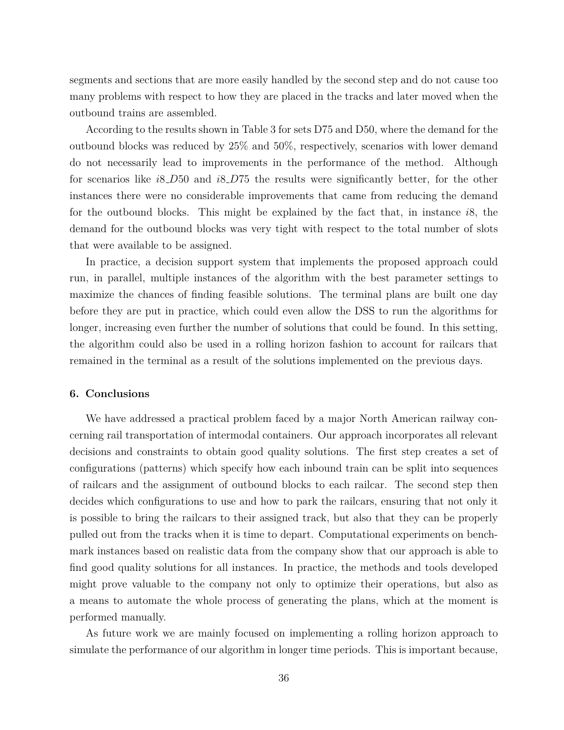segments and sections that are more easily handled by the second step and do not cause too many problems with respect to how they are placed in the tracks and later moved when the outbound trains are assembled.

According to the results shown in Table 3 for sets D75 and D50, where the demand for the outbound blocks was reduced by 25% and 50%, respectively, scenarios with lower demand do not necessarily lead to improvements in the performance of the method. Although for scenarios like *i*8 *D*50 and *i*8 *D*75 the results were significantly better, for the other instances there were no considerable improvements that came from reducing the demand for the outbound blocks. This might be explained by the fact that, in instance *i*8, the demand for the outbound blocks was very tight with respect to the total number of slots that were available to be assigned.

In practice, a decision support system that implements the proposed approach could run, in parallel, multiple instances of the algorithm with the best parameter settings to maximize the chances of finding feasible solutions. The terminal plans are built one day before they are put in practice, which could even allow the DSS to run the algorithms for longer, increasing even further the number of solutions that could be found. In this setting, the algorithm could also be used in a rolling horizon fashion to account for railcars that remained in the terminal as a result of the solutions implemented on the previous days.

# **6. Conclusions**

We have addressed a practical problem faced by a major North American railway concerning rail transportation of intermodal containers. Our approach incorporates all relevant decisions and constraints to obtain good quality solutions. The first step creates a set of configurations (patterns) which specify how each inbound train can be split into sequences of railcars and the assignment of outbound blocks to each railcar. The second step then decides which configurations to use and how to park the railcars, ensuring that not only it is possible to bring the railcars to their assigned track, but also that they can be properly pulled out from the tracks when it is time to depart. Computational experiments on benchmark instances based on realistic data from the company show that our approach is able to find good quality solutions for all instances. In practice, the methods and tools developed might prove valuable to the company not only to optimize their operations, but also as a means to automate the whole process of generating the plans, which at the moment is performed manually.

As future work we are mainly focused on implementing a rolling horizon approach to simulate the performance of our algorithm in longer time periods. This is important because,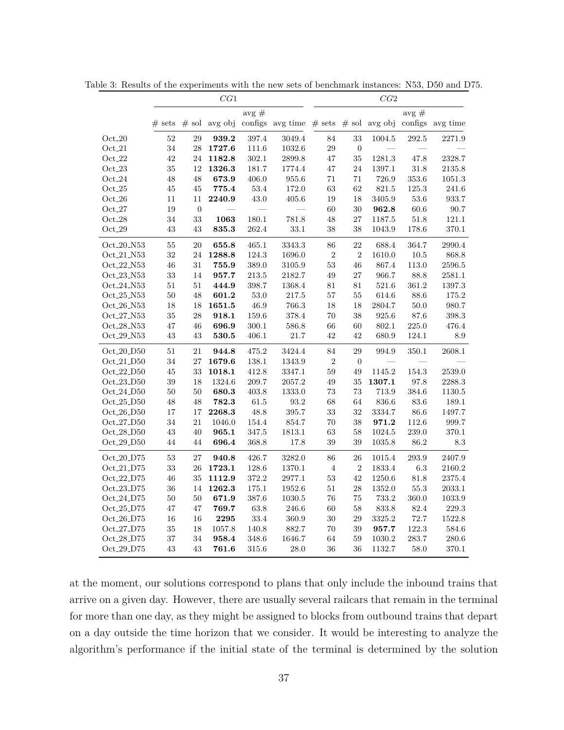|                         | CG1      |                |                 | CG2       |                  |                |                  |                 |           |                  |
|-------------------------|----------|----------------|-----------------|-----------|------------------|----------------|------------------|-----------------|-----------|------------------|
|                         |          |                |                 | $avg \#$  |                  |                |                  |                 | $avg \#$  |                  |
|                         | $#$ sets |                | $#$ sol avg obj |           | configs avg time | # sets         |                  | $#$ sol avg obj |           | configs avg time |
| $Oct_20$                | 52       | 29             | 939.2           | 397.4     | 3049.4           | 84             | 33               | 1004.5          | 292.5     | 2271.9           |
| $Oct_21$                | 34       | 28             | 1727.6          | 111.6     | 1032.6           | 29             | $\boldsymbol{0}$ |                 |           |                  |
| $Oct_22$                | 42       | $24\,$         | 1182.8          | 302.1     | 2899.8           | 47             | 35               | 1281.3          | 47.8      | 2328.7           |
| $Oct_23$                | 35       | 12             | 1326.3          | 181.7     | 1774.4           | 47             | 24               | 1397.1          | 31.8      | 2135.8           |
| $Oct_24$                | 48       | 48             | 673.9           | $406.0\,$ | 955.6            | 71             | 71               | 726.9           | $353.6\,$ | $1051.3\,$       |
| Oct.25                  | 45       | 45             | 775.4           | 53.4      | 172.0            | 63             | 62               | 821.5           | 125.3     | 241.6            |
| $Oct_26$                | 11       | 11             | 2240.9          | 43.0      | 405.6            | 19             | 18               | 3405.9          | 53.6      | 933.7            |
| $Oct_27$                | 19       | $\overline{0}$ |                 |           |                  | 60             | 30               | 962.8           | 60.6      | 90.7             |
| $Oct_28$                | 34       | 33             | 1063            | 180.1     | 781.8            | 48             | 27               | 1187.5          | 51.8      | 121.1            |
| $\mathrm{Oct}\_29$      | 43       | 43             | $\bf 835.3$     | 262.4     | $33.1\,$         | 38             | 38               | 1043.9          | 178.6     | 370.1            |
| Oct <sub>-20-N53</sub>  | 55       | 20             | 655.8           | 465.1     | 3343.3           | 86             | 22               | 688.4           | 364.7     | 2990.4           |
| Oct <sub>-21</sub> -N53 | 32       | 24             | 1288.8          | 124.3     | 1696.0           | $\overline{2}$ | $\overline{2}$   | 1610.0          | 10.5      | 868.8            |
| Oct_22_N53              | 46       | 31             | 755.9           | 389.0     | 3105.9           | $53\,$         | 46               | 867.4           | 113.0     | 2596.5           |
| $Oct_23_N53$            | 33       | 14             | 957.7           | $213.5\,$ | 2182.7           | 49             | 27               | 966.7           | 88.8      | 2581.1           |
| Oct <sub>-24</sub> _N53 | 51       | 51             | 444.9           | 398.7     | 1368.4           | 81             | 81               | 521.6           | 361.2     | 1397.3           |
| Oct <sub>-25</sub> _N53 | 50       | 48             | 601.2           | 53.0      | 217.5            | 57             | $55\,$           | 614.6           | 88.6      | $175.2\,$        |
| Oct_26_N53              | 18       | 18             | 1651.5          | 46.9      | 766.3            | 18             | 18               | 2804.7          | 50.0      | 980.7            |
| Oct <sub>-27</sub> -N53 | 35       | 28             | 918.1           | 159.6     | 378.4            | 70             | 38               | 925.6           | $87.6\,$  | 398.3            |
| Oct <sub>-28</sub> _N53 | 47       | 46             | 696.9           | 300.1     | 586.8            | 66             | 60               | 802.1           | 225.0     | 476.4            |
| $Oct_29_N53$            | 43       | 43             | 530.5           | 406.1     | 21.7             | 42             | 42               | 680.9           | 124.1     | 8.9              |
| $Oct_20_D50$            | 51       | 21             | 944.8           | $475.2\,$ | 3424.4           | 84             | 29               | 994.9           | $350.1\,$ | 2608.1           |
| $Oct_21_D50$            | 34       | 27             | 1679.6          | 138.1     | 1343.9           | $\overline{2}$ | $\overline{0}$   |                 |           |                  |
| $Oct_22_D50$            | 45       | 33             | 1018.1          | 412.8     | 3347.1           | 59             | 49               | 1145.2          | 154.3     | 2539.0           |
| Oct <sub>-23</sub> _D50 | 39       | 18             | 1324.6          | 209.7     | 2057.2           | 49             | 35               | 1307.1          | 97.8      | 2288.3           |
| $Oct_24_D50$            | 50       | 50             | 680.3           | 403.8     | 1333.0           | 73             | $73\,$           | 713.9           | 384.6     | 1130.5           |
| $Oct_25__D50$           | 48       | 48             | 782.3           | 61.5      | 93.2             | 68             | 64               | 836.6           | 83.6      | 189.1            |
| $Oct_26_D50$            | 17       | 17             | 2268.3          | 48.8      | 395.7            | 33             | 32               | 3334.7          | 86.6      | 1497.7           |
| $Oct_27_$               | 34       | 21             | 1046.0          | 154.4     | 854.7            | $70\,$         | 38               | 971.2           | 112.6     | 999.7            |
| $Oct_28_$ D50           | 43       | 40             | 965.1           | 347.5     | 1813.1           | $63\,$         | 58               | 1024.5          | 239.0     | 370.1            |
| $Oct_29__D50$           | 44       | 44             | 696.4           | 368.8     | 17.8             | 39             | 39               | 1035.8          | 86.2      | 8.3              |
| $Oct_20_D75$            | 53       | 27             | 940.8           | 426.7     | 3282.0           | 86             | 26               | 1015.4          | 293.9     | 2407.9           |
| $Oct_21_D75$            | 33       | 26             | 1723.1          | 128.6     | 1370.1           | $\,4\,$        | $\overline{2}$   | 1833.4          | 6.3       | 2160.2           |
| $Oct_22_DT5$            | 46       | 35             | 1112.9          | 372.2     | 2977.1           | 53             | 42               | 1250.6          | $81.8\,$  | 2375.4           |
| $Oct_23_D75$            | 36       | 14             | 1262.3          | 175.1     | 1952.6           | 51             | 28               | 1352.0          | 55.3      | 2033.1           |
| Oct <sub>-24</sub> _D75 | 50       | 50             | 671.9           | 387.6     | 1030.5           | 76             | 75               | 733.2           | 360.0     | 1033.9           |
| $Oct_25_D75$            | 47       | 47             | 769.7           | $63.8\,$  | 246.6            | 60             | 58               | 833.8           | 82.4      | 229.3            |
| Oct <sub>-26</sub> _D75 | 16       | 16             | 2295            | $33.4\,$  | 360.9            | 30             | 29               | 3325.2          | 72.7      | 1522.8           |
| Oct <sub>-27</sub> -D75 | 35       | 18             | 1057.8          | 140.8     | 882.7            | 70             | 39               | 957.7           | 122.3     | 584.6            |
| Oct <sub>-28</sub> -D75 | 37       | 34             | 958.4           | 348.6     | 1646.7           | $64\,$         | 59               | 1030.2          | 283.7     | 280.6            |
| Oct <sub>-29</sub> _D75 | 43       | 43             | 761.6           | 315.6     | $28.0\,$         | 36             | 36               | 1132.7          | 58.0      | 370.1            |

Table 3: Results of the experiments with the new sets of benchmark instances: N53, D50 and D75.

at the moment, our solutions correspond to plans that only include the inbound trains that arrive on a given day. However, there are usually several railcars that remain in the terminal for more than one day, as they might be assigned to blocks from outbound trains that depart on a day outside the time horizon that we consider. It would be interesting to analyze the algorithm's performance if the initial state of the terminal is determined by the solution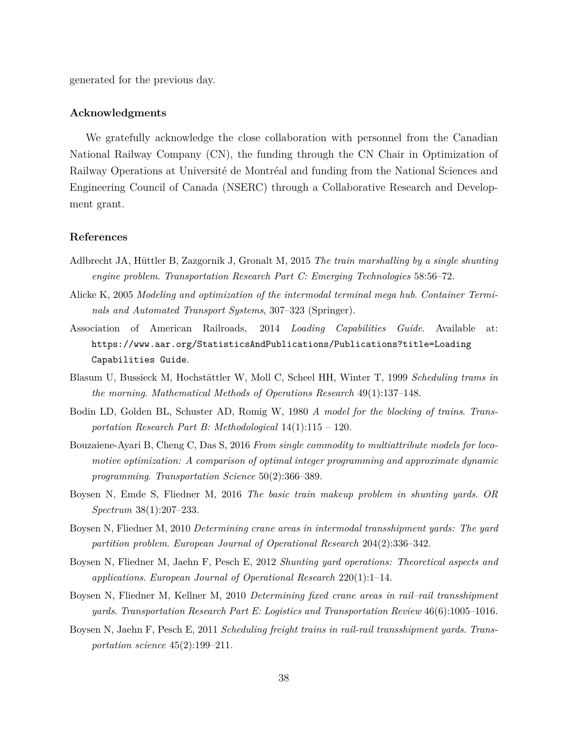generated for the previous day.

#### **Acknowledgments**

We gratefully acknowledge the close collaboration with personnel from the Canadian National Railway Company (CN), the funding through the CN Chair in Optimization of Railway Operations at Université de Montréal and funding from the National Sciences and Engineering Council of Canada (NSERC) through a Collaborative Research and Development grant.

#### **References**

- Adlbrecht JA, Hüttler B, Zazgornik J, Gronalt M, 2015 *The train marshalling by a single shunting engine problem*. *Transportation Research Part C: Emerging Technologies* 58:56–72.
- Alicke K, 2005 *Modeling and optimization of the intermodal terminal mega hub*. *Container Terminals and Automated Transport Systems*, 307–323 (Springer).
- Association of American Railroads, 2014 *Loading Capabilities Guide*. Available at: https://www.aar.org/StatisticsAndPublications/Publications?title=Loading Capabilities Guide.
- Blasum U, Bussieck M, Hochstättler W, Moll C, Scheel HH, Winter T, 1999 *Scheduling trams in the morning*. *Mathematical Methods of Operations Research* 49(1):137–148.
- Bodin LD, Golden BL, Schuster AD, Romig W, 1980 *A model for the blocking of trains*. *Transportation Research Part B: Methodological* 14(1):115 – 120.
- Bouzaiene-Ayari B, Cheng C, Das S, 2016 *From single commodity to multiattribute models for locomotive optimization: A comparison of optimal integer programming and approximate dynamic programming*. *Transportation Science* 50(2):366–389.
- Boysen N, Emde S, Fliedner M, 2016 *The basic train makeup problem in shunting yards*. *OR Spectrum* 38(1):207–233.
- Boysen N, Fliedner M, 2010 *Determining crane areas in intermodal transshipment yards: The yard partition problem*. *European Journal of Operational Research* 204(2):336–342.
- Boysen N, Fliedner M, Jaehn F, Pesch E, 2012 *Shunting yard operations: Theoretical aspects and applications*. *European Journal of Operational Research* 220(1):1–14.
- Boysen N, Fliedner M, Kellner M, 2010 *Determining fixed crane areas in rail–rail transshipment yards*. *Transportation Research Part E: Logistics and Transportation Review* 46(6):1005–1016.
- Boysen N, Jaehn F, Pesch E, 2011 *Scheduling freight trains in rail-rail transshipment yards*. *Transportation science* 45(2):199–211.